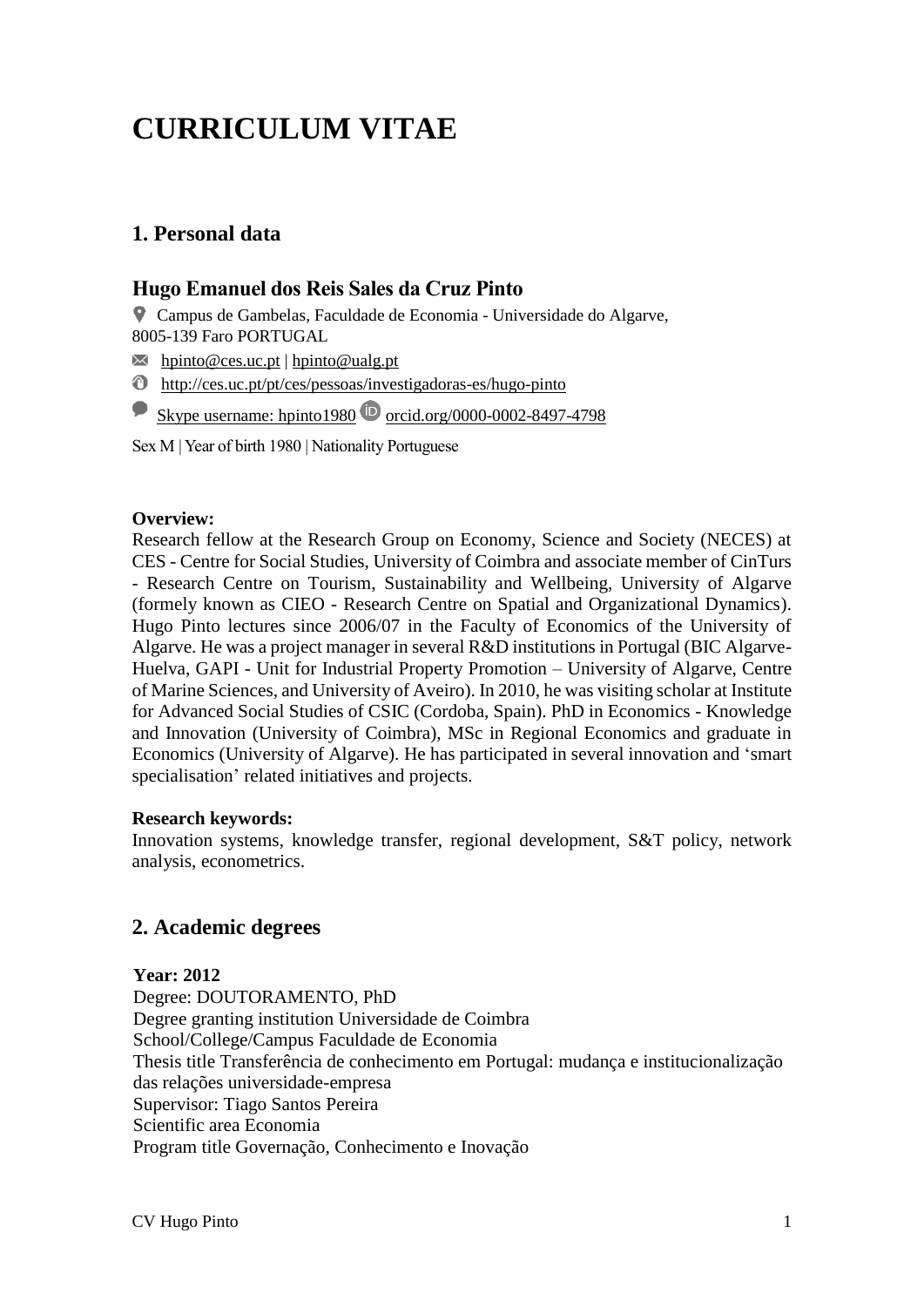# **CURRICULUM VITAE**

# **1. Personal data**

# **Hugo Emanuel dos Reis Sales da Cruz Pinto**

Campus de Gambelas, Faculdade de Economia - Universidade do Algarve, 8005-139 Faro PORTUGAL

 $\overline{\mathsf{M}}$  [hpinto@ces.uc.pt](mailto:hpinto@ces.uc.pt) | [hpinto@ualg.pt](mailto:hpinto@ualg.pt)

<http://ces.uc.pt/pt/ces/pessoas/investigadoras-es/hugo-pinto>

Skype username: hpinto1980  $\bullet$  orcid.org/0000-0002-8497-4798

Sex M | Year of birth 1980 | Nationality Portuguese

#### **Overview:**

Research fellow at the Research Group on Economy, Science and Society (NECES) at CES - Centre for Social Studies, University of Coimbra and associate member of CinTurs - Research Centre on Tourism, Sustainability and Wellbeing, University of Algarve (formely known as CIEO - Research Centre on Spatial and Organizational Dynamics). Hugo Pinto lectures since 2006/07 in the Faculty of Economics of the University of Algarve. He was a project manager in several R&D institutions in Portugal (BIC Algarve-Huelva, GAPI - Unit for Industrial Property Promotion – University of Algarve, Centre of Marine Sciences, and University of Aveiro). In 2010, he was visiting scholar at Institute for Advanced Social Studies of CSIC (Cordoba, Spain). PhD in Economics - Knowledge and Innovation (University of Coimbra), MSc in Regional Economics and graduate in Economics (University of Algarve). He has participated in several innovation and 'smart specialisation' related initiatives and projects.

#### **Research keywords:**

Innovation systems, knowledge transfer, regional development, S&T policy, network analysis, econometrics.

# **2. Academic degrees**

# **Year: 2012**

Degree: DOUTORAMENTO, PhD Degree granting institution Universidade de Coimbra School/College/Campus Faculdade de Economia Thesis title Transferência de conhecimento em Portugal: mudança e institucionalização das relações universidade-empresa Supervisor: Tiago Santos Pereira Scientific area Economia Program title Governação, Conhecimento e Inovação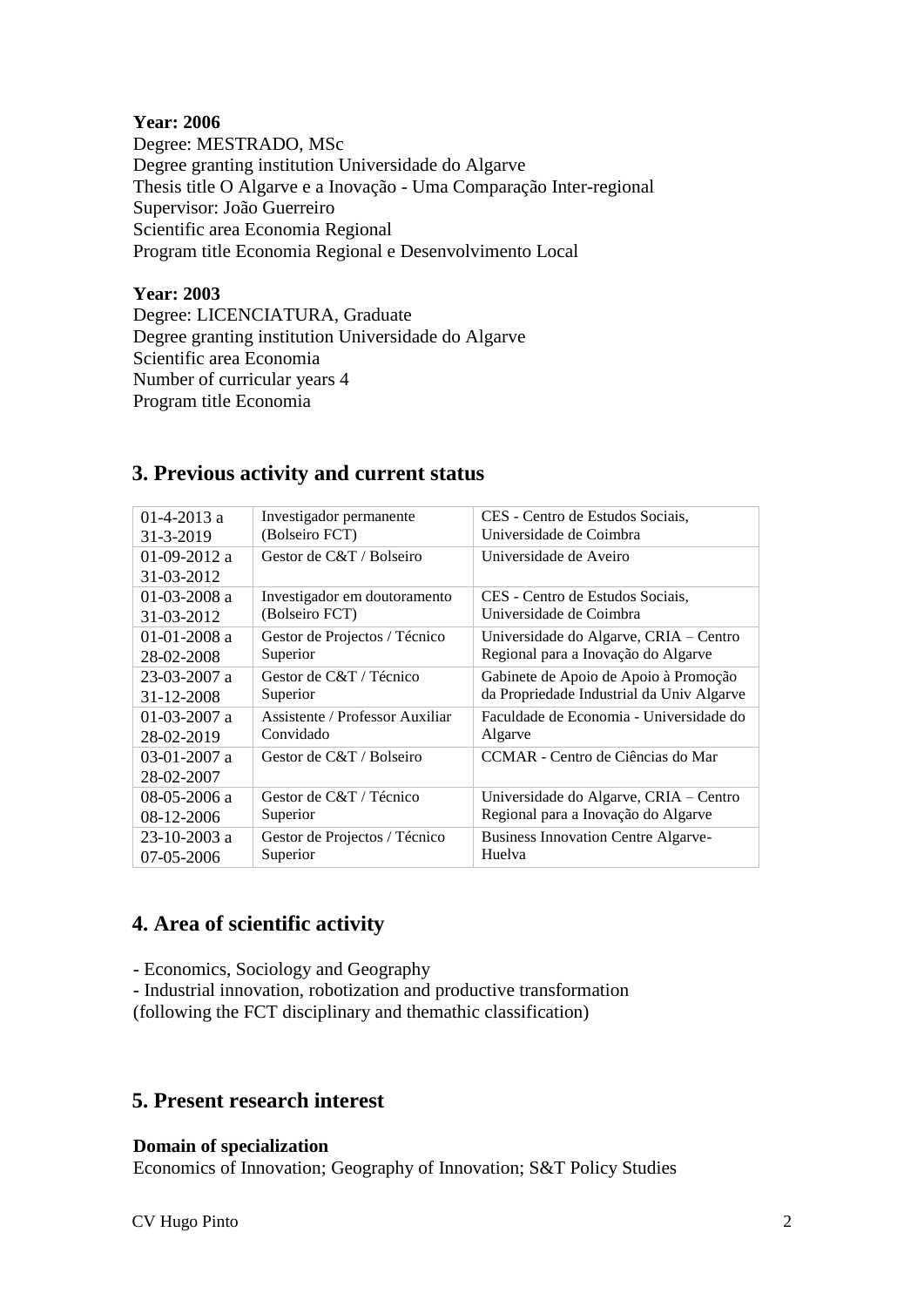## **Year: 2006**

Degree: MESTRADO, MSc Degree granting institution Universidade do Algarve Thesis title O Algarve e a Inovação - Uma Comparação Inter-regional Supervisor: João Guerreiro Scientific area Economia Regional Program title Economia Regional e Desenvolvimento Local

## **Year: 2003**

Degree: LICENCIATURA, Graduate Degree granting institution Universidade do Algarve Scientific area Economia Number of curricular years 4 Program title Economia

| $01-4-2013$ a  | Investigador permanente         | CES - Centro de Estudos Sociais,           |
|----------------|---------------------------------|--------------------------------------------|
| 31-3-2019      | (Bolseiro FCT)                  | Universidade de Coimbra                    |
| 01-09-2012 a   | Gestor de C&T / Bolseiro        | Universidade de Aveiro                     |
| 31-03-2012     |                                 |                                            |
| $01-03-2008$ a | Investigador em doutoramento    | CES - Centro de Estudos Sociais,           |
| 31-03-2012     | (Bolseiro FCT)                  | Universidade de Coimbra                    |
| $01-01-2008$ a | Gestor de Projectos / Técnico   | Universidade do Algarve, CRIA - Centro     |
| 28-02-2008     | Superior                        | Regional para a Inovação do Algarve        |
| 23-03-2007 a   | Gestor de C&T / Técnico         | Gabinete de Apoio de Apoio à Promoção      |
| 31-12-2008     | Superior                        | da Propriedade Industrial da Univ Algarve  |
| $01-03-2007$ a | Assistente / Professor Auxiliar | Faculdade de Economia - Universidade do    |
| 28-02-2019     | Convidado                       | Algarve                                    |
| $03-01-2007$ a | Gestor de C&T / Bolseiro        | CCMAR - Centro de Ciências do Mar          |
| 28-02-2007     |                                 |                                            |
| 08-05-2006 a   | Gestor de C&T / Técnico         | Universidade do Algarve, CRIA - Centro     |
| $08-12-2006$   | Superior                        | Regional para a Inovação do Algarve        |
| 23-10-2003 a   | Gestor de Projectos / Técnico   | <b>Business Innovation Centre Algarve-</b> |
| 07-05-2006     | Superior                        | Huelva                                     |

# **3. Previous activity and current status**

# **4. Area of scientific activity**

- Economics, Sociology and Geography

- Industrial innovation, robotization and productive transformation

(following the FCT disciplinary and themathic classification)

# **5. Present research interest**

**Domain of specialization**

Economics of Innovation; Geography of Innovation; S&T Policy Studies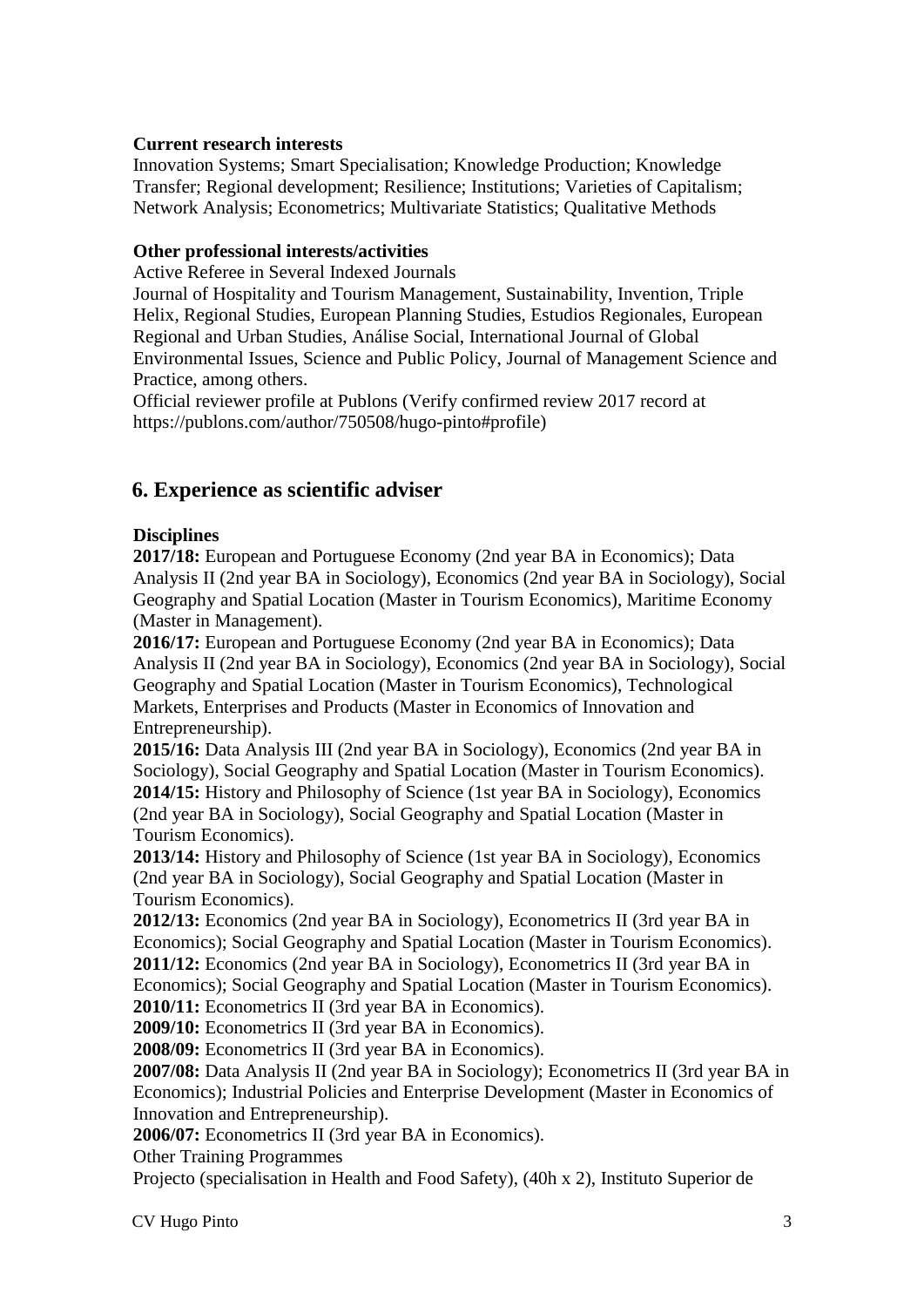## **Current research interests**

Innovation Systems; Smart Specialisation; Knowledge Production; Knowledge Transfer; Regional development; Resilience; Institutions; Varieties of Capitalism; Network Analysis; Econometrics; Multivariate Statistics; Qualitative Methods

## **Other professional interests/activities**

Active Referee in Several Indexed Journals

Journal of Hospitality and Tourism Management, Sustainability, Invention, Triple Helix, Regional Studies, European Planning Studies, Estudios Regionales, European Regional and Urban Studies, Análise Social, International Journal of Global Environmental Issues, Science and Public Policy, Journal of Management Science and Practice, among others.

Official reviewer profile at Publons (Verify confirmed review 2017 record at https://publons.com/author/750508/hugo-pinto#profile)

# **6. Experience as scientific adviser**

## **Disciplines**

**2017/18:** European and Portuguese Economy (2nd year BA in Economics); Data Analysis II (2nd year BA in Sociology), Economics (2nd year BA in Sociology), Social Geography and Spatial Location (Master in Tourism Economics), Maritime Economy (Master in Management).

**2016/17:** European and Portuguese Economy (2nd year BA in Economics); Data Analysis II (2nd year BA in Sociology), Economics (2nd year BA in Sociology), Social Geography and Spatial Location (Master in Tourism Economics), Technological Markets, Enterprises and Products (Master in Economics of Innovation and Entrepreneurship).

**2015/16:** Data Analysis III (2nd year BA in Sociology), Economics (2nd year BA in Sociology), Social Geography and Spatial Location (Master in Tourism Economics). **2014/15:** History and Philosophy of Science (1st year BA in Sociology), Economics (2nd year BA in Sociology), Social Geography and Spatial Location (Master in Tourism Economics).

**2013/14:** History and Philosophy of Science (1st year BA in Sociology), Economics (2nd year BA in Sociology), Social Geography and Spatial Location (Master in Tourism Economics).

**2012/13:** Economics (2nd year BA in Sociology), Econometrics II (3rd year BA in Economics); Social Geography and Spatial Location (Master in Tourism Economics). **2011/12:** Economics (2nd year BA in Sociology), Econometrics II (3rd year BA in Economics); Social Geography and Spatial Location (Master in Tourism Economics).

**2010/11:** Econometrics II (3rd year BA in Economics).

**2009/10:** Econometrics II (3rd year BA in Economics). **2008/09:** Econometrics II (3rd year BA in Economics).

**2007/08:** Data Analysis II (2nd year BA in Sociology); Econometrics II (3rd year BA in Economics); Industrial Policies and Enterprise Development (Master in Economics of

Innovation and Entrepreneurship).

**2006/07:** Econometrics II (3rd year BA in Economics).

Other Training Programmes

Projecto (specialisation in Health and Food Safety), (40h x 2), Instituto Superior de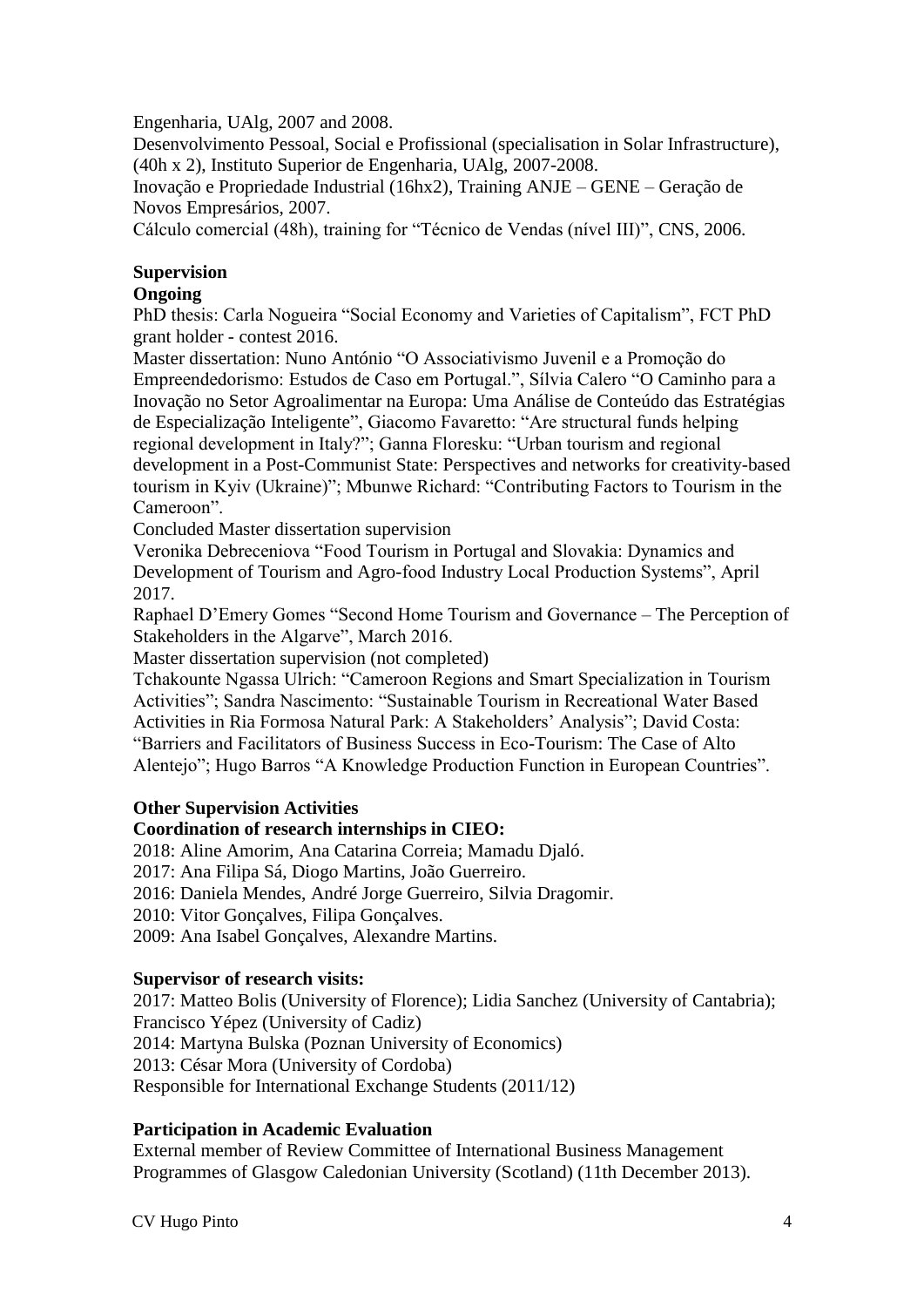Engenharia, UAlg, 2007 and 2008.

Desenvolvimento Pessoal, Social e Profissional (specialisation in Solar Infrastructure), (40h x 2), Instituto Superior de Engenharia, UAlg, 2007-2008.

Inovação e Propriedade Industrial (16hx2), Training ANJE – GENE – Geração de Novos Empresários, 2007.

Cálculo comercial (48h), training for "Técnico de Vendas (nível III)", CNS, 2006.

# **Supervision**

## **Ongoing**

PhD thesis: Carla Nogueira "Social Economy and Varieties of Capitalism", FCT PhD grant holder - contest 2016.

Master dissertation: Nuno António "O Associativismo Juvenil e a Promoção do Empreendedorismo: Estudos de Caso em Portugal.", Sílvia Calero "O Caminho para a Inovação no Setor Agroalimentar na Europa: Uma Análise de Conteúdo das Estratégias de Especialização Inteligente", Giacomo Favaretto: "Are structural funds helping regional development in Italy?"; Ganna Floresku: "Urban tourism and regional development in a Post-Communist State: Perspectives and networks for creativity-based tourism in Kyiv (Ukraine)"; Mbunwe Richard: "Contributing Factors to Tourism in the Cameroon".

Concluded Master dissertation supervision

Veronika Debreceniova "Food Tourism in Portugal and Slovakia: Dynamics and Development of Tourism and Agro-food Industry Local Production Systems", April 2017.

Raphael D'Emery Gomes "Second Home Tourism and Governance – The Perception of Stakeholders in the Algarve", March 2016.

Master dissertation supervision (not completed)

Tchakounte Ngassa Ulrich: "Cameroon Regions and Smart Specialization in Tourism Activities"; Sandra Nascimento: "Sustainable Tourism in Recreational Water Based Activities in Ria Formosa Natural Park: A Stakeholders' Analysis"; David Costa: "Barriers and Facilitators of Business Success in Eco-Tourism: The Case of Alto Alentejo"; Hugo Barros "A Knowledge Production Function in European Countries".

#### **Other Supervision Activities**

#### **Coordination of research internships in CIEO:**

2018: Aline Amorim, Ana Catarina Correia; Mamadu Djaló.

2017: Ana Filipa Sá, Diogo Martins, João Guerreiro.

2016: Daniela Mendes, André Jorge Guerreiro, Silvia Dragomir.

2010: Vitor Gonçalves, Filipa Gonçalves.

2009: Ana Isabel Gonçalves, Alexandre Martins.

#### **Supervisor of research visits:**

2017: Matteo Bolis (University of Florence); Lidia Sanchez (University of Cantabria); Francisco Yépez (University of Cadiz) 2014: Martyna Bulska (Poznan University of Economics) 2013: César Mora (University of Cordoba) Responsible for International Exchange Students (2011/12)

# **Participation in Academic Evaluation**

External member of Review Committee of International Business Management Programmes of Glasgow Caledonian University (Scotland) (11th December 2013).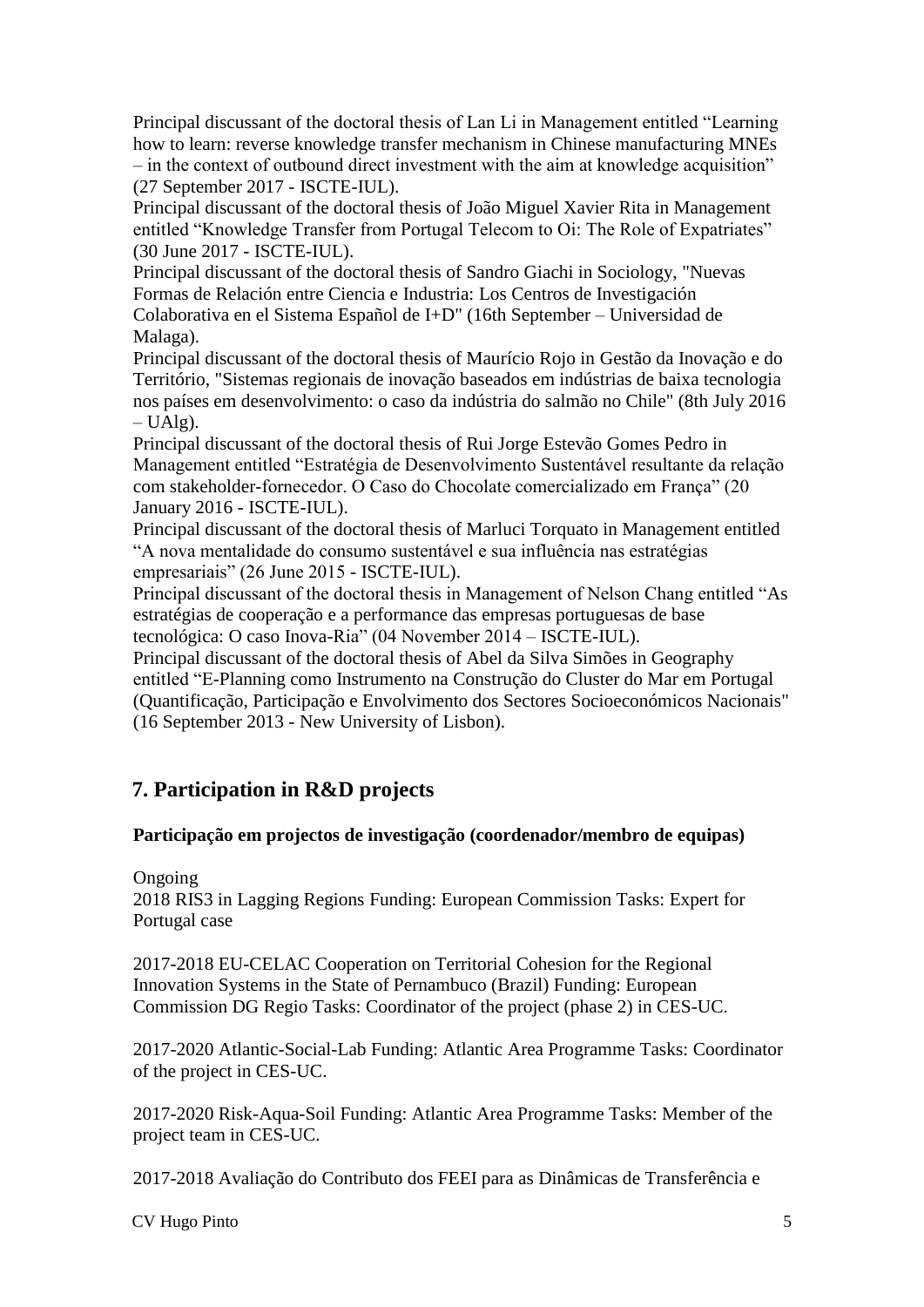Principal discussant of the doctoral thesis of Lan Li in Management entitled "Learning how to learn: reverse knowledge transfer mechanism in Chinese manufacturing MNEs – in the context of outbound direct investment with the aim at knowledge acquisition" (27 September 2017 - ISCTE-IUL).

Principal discussant of the doctoral thesis of João Miguel Xavier Rita in Management entitled "Knowledge Transfer from Portugal Telecom to Oi: The Role of Expatriates" (30 June 2017 - ISCTE-IUL).

Principal discussant of the doctoral thesis of Sandro Giachi in Sociology, "Nuevas Formas de Relación entre Ciencia e Industria: Los Centros de Investigación Colaborativa en el Sistema Español de I+D" (16th September – Universidad de Malaga).

Principal discussant of the doctoral thesis of Maurício Rojo in Gestão da Inovação e do Território, "Sistemas regionais de inovação baseados em indústrias de baixa tecnologia nos países em desenvolvimento: o caso da indústria do salmão no Chile" (8th July 2016  $- UAlg$ ).

Principal discussant of the doctoral thesis of Rui Jorge Estevão Gomes Pedro in Management entitled "Estratégia de Desenvolvimento Sustentável resultante da relação com stakeholder-fornecedor. O Caso do Chocolate comercializado em França" (20 January 2016 - ISCTE-IUL).

Principal discussant of the doctoral thesis of Marluci Torquato in Management entitled "A nova mentalidade do consumo sustentável e sua influência nas estratégias empresariais" (26 June 2015 - ISCTE-IUL).

Principal discussant of the doctoral thesis in Management of Nelson Chang entitled "As estratégias de cooperação e a performance das empresas portuguesas de base tecnológica: O caso Inova-Ria" (04 November 2014 – ISCTE-IUL).

Principal discussant of the doctoral thesis of Abel da Silva Simões in Geography entitled "E-Planning como Instrumento na Construção do Cluster do Mar em Portugal (Quantificação, Participação e Envolvimento dos Sectores Socioeconómicos Nacionais" (16 September 2013 - New University of Lisbon).

# **7. Participation in R&D projects**

# **Participação em projectos de investigação (coordenador/membro de equipas)**

# Ongoing

2018 RIS3 in Lagging Regions Funding: European Commission Tasks: Expert for Portugal case

2017-2018 EU-CELAC Cooperation on Territorial Cohesion for the Regional Innovation Systems in the State of Pernambuco (Brazil) Funding: European Commission DG Regio Tasks: Coordinator of the project (phase 2) in CES-UC.

2017-2020 Atlantic-Social-Lab Funding: Atlantic Area Programme Tasks: Coordinator of the project in CES-UC.

2017-2020 Risk-Aqua-Soil Funding: Atlantic Area Programme Tasks: Member of the project team in CES-UC.

2017-2018 Avaliação do Contributo dos FEEI para as Dinâmicas de Transferência e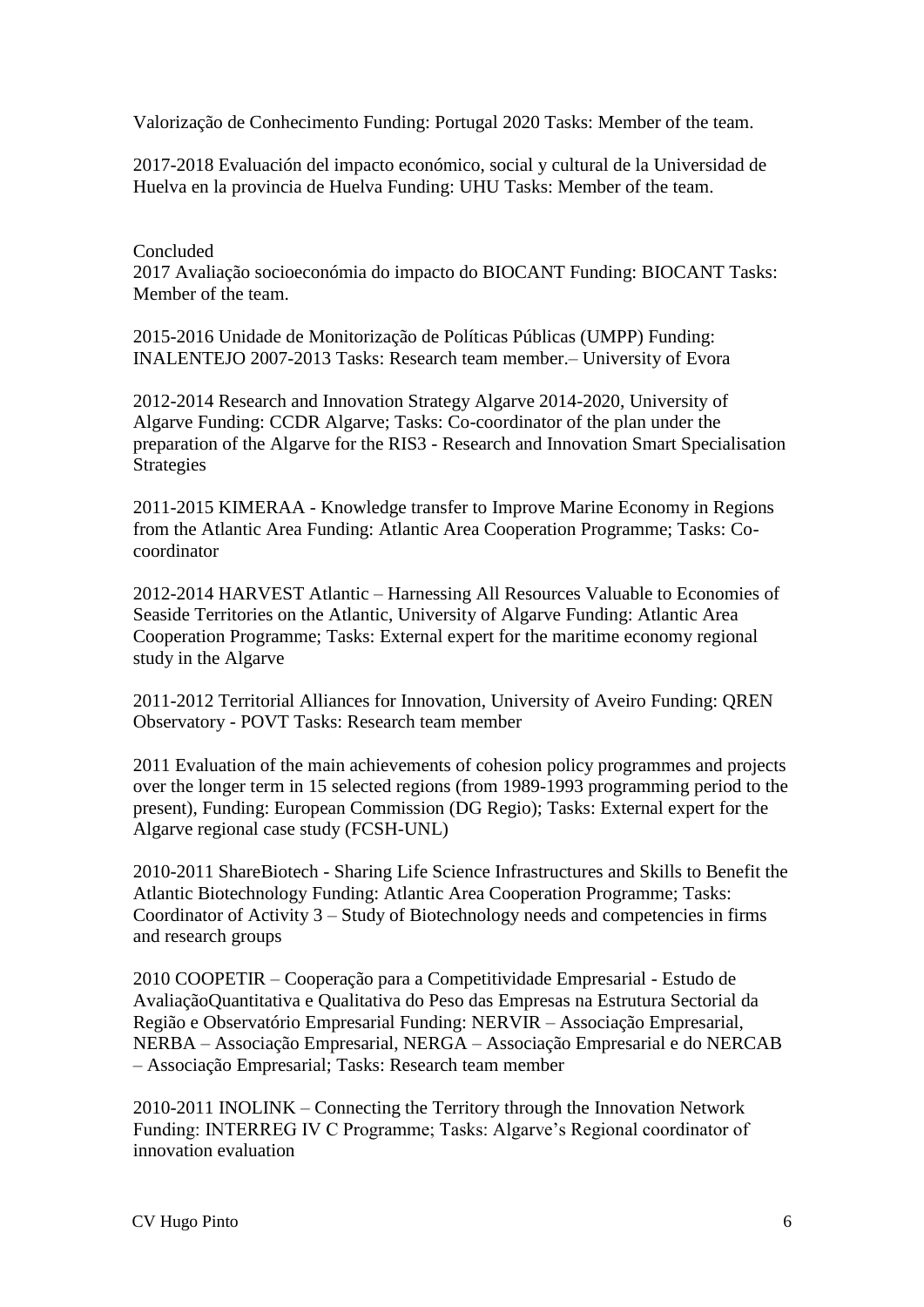Valorização de Conhecimento Funding: Portugal 2020 Tasks: Member of the team.

2017-2018 Evaluación del impacto económico, social y cultural de la Universidad de Huelva en la provincia de Huelva Funding: UHU Tasks: Member of the team.

Concluded 2017 Avaliação socioeconómia do impacto do BIOCANT Funding: BIOCANT Tasks: Member of the team.

2015-2016 Unidade de Monitorização de Políticas Públicas (UMPP) Funding: INALENTEJO 2007-2013 Tasks: Research team member.– University of Evora

2012-2014 Research and Innovation Strategy Algarve 2014-2020, University of Algarve Funding: CCDR Algarve; Tasks: Co-coordinator of the plan under the preparation of the Algarve for the RIS3 - Research and Innovation Smart Specialisation Strategies

2011-2015 KIMERAA - Knowledge transfer to Improve Marine Economy in Regions from the Atlantic Area Funding: Atlantic Area Cooperation Programme; Tasks: Cocoordinator

2012-2014 HARVEST Atlantic – Harnessing All Resources Valuable to Economies of Seaside Territories on the Atlantic, University of Algarve Funding: Atlantic Area Cooperation Programme; Tasks: External expert for the maritime economy regional study in the Algarve

2011-2012 Territorial Alliances for Innovation, University of Aveiro Funding: QREN Observatory - POVT Tasks: Research team member

2011 Evaluation of the main achievements of cohesion policy programmes and projects over the longer term in 15 selected regions (from 1989-1993 programming period to the present), Funding: European Commission (DG Regio); Tasks: External expert for the Algarve regional case study (FCSH-UNL)

2010-2011 ShareBiotech - Sharing Life Science Infrastructures and Skills to Benefit the Atlantic Biotechnology Funding: Atlantic Area Cooperation Programme; Tasks: Coordinator of Activity 3 – Study of Biotechnology needs and competencies in firms and research groups

2010 COOPETIR – Cooperação para a Competitividade Empresarial - Estudo de AvaliaçãoQuantitativa e Qualitativa do Peso das Empresas na Estrutura Sectorial da Região e Observatório Empresarial Funding: NERVIR – Associação Empresarial, NERBA – Associação Empresarial, NERGA – Associação Empresarial e do NERCAB – Associação Empresarial; Tasks: Research team member

2010-2011 INOLINK – Connecting the Territory through the Innovation Network Funding: INTERREG IV C Programme; Tasks: Algarve's Regional coordinator of innovation evaluation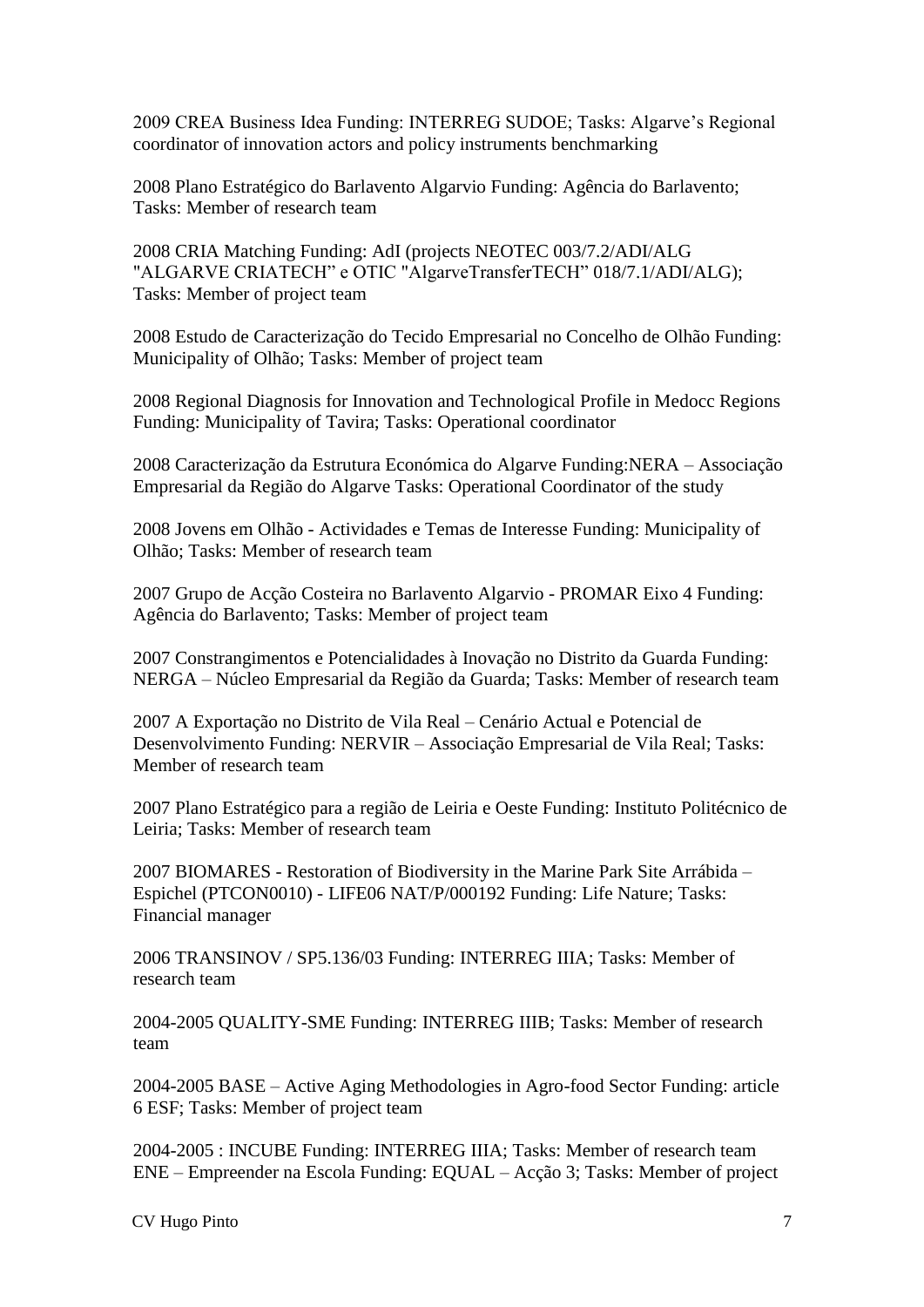2009 CREA Business Idea Funding: INTERREG SUDOE; Tasks: Algarve's Regional coordinator of innovation actors and policy instruments benchmarking

2008 Plano Estratégico do Barlavento Algarvio Funding: Agência do Barlavento; Tasks: Member of research team

2008 CRIA Matching Funding: AdI (projects NEOTEC 003/7.2/ADI/ALG "ALGARVE CRIATECH" e OTIC "AlgarveTransferTECH" 018/7.1/ADI/ALG); Tasks: Member of project team

2008 Estudo de Caracterização do Tecido Empresarial no Concelho de Olhão Funding: Municipality of Olhão; Tasks: Member of project team

2008 Regional Diagnosis for Innovation and Technological Profile in Medocc Regions Funding: Municipality of Tavira; Tasks: Operational coordinator

2008 Caracterização da Estrutura Económica do Algarve Funding:NERA – Associação Empresarial da Região do Algarve Tasks: Operational Coordinator of the study

2008 Jovens em Olhão - Actividades e Temas de Interesse Funding: Municipality of Olhão; Tasks: Member of research team

2007 Grupo de Acção Costeira no Barlavento Algarvio - PROMAR Eixo 4 Funding: Agência do Barlavento; Tasks: Member of project team

2007 Constrangimentos e Potencialidades à Inovação no Distrito da Guarda Funding: NERGA – Núcleo Empresarial da Região da Guarda; Tasks: Member of research team

2007 A Exportação no Distrito de Vila Real – Cenário Actual e Potencial de Desenvolvimento Funding: NERVIR – Associação Empresarial de Vila Real; Tasks: Member of research team

2007 Plano Estratégico para a região de Leiria e Oeste Funding: Instituto Politécnico de Leiria; Tasks: Member of research team

2007 BIOMARES - Restoration of Biodiversity in the Marine Park Site Arrábida – Espichel (PTCON0010) - LIFE06 NAT/P/000192 Funding: Life Nature; Tasks: Financial manager

2006 TRANSINOV / SP5.136/03 Funding: INTERREG IIIA; Tasks: Member of research team

2004-2005 QUALITY-SME Funding: INTERREG IIIB; Tasks: Member of research team

2004-2005 BASE – Active Aging Methodologies in Agro-food Sector Funding: article 6 ESF; Tasks: Member of project team

2004-2005 : INCUBE Funding: INTERREG IIIA; Tasks: Member of research team ENE – Empreender na Escola Funding: EQUAL – Acção 3; Tasks: Member of project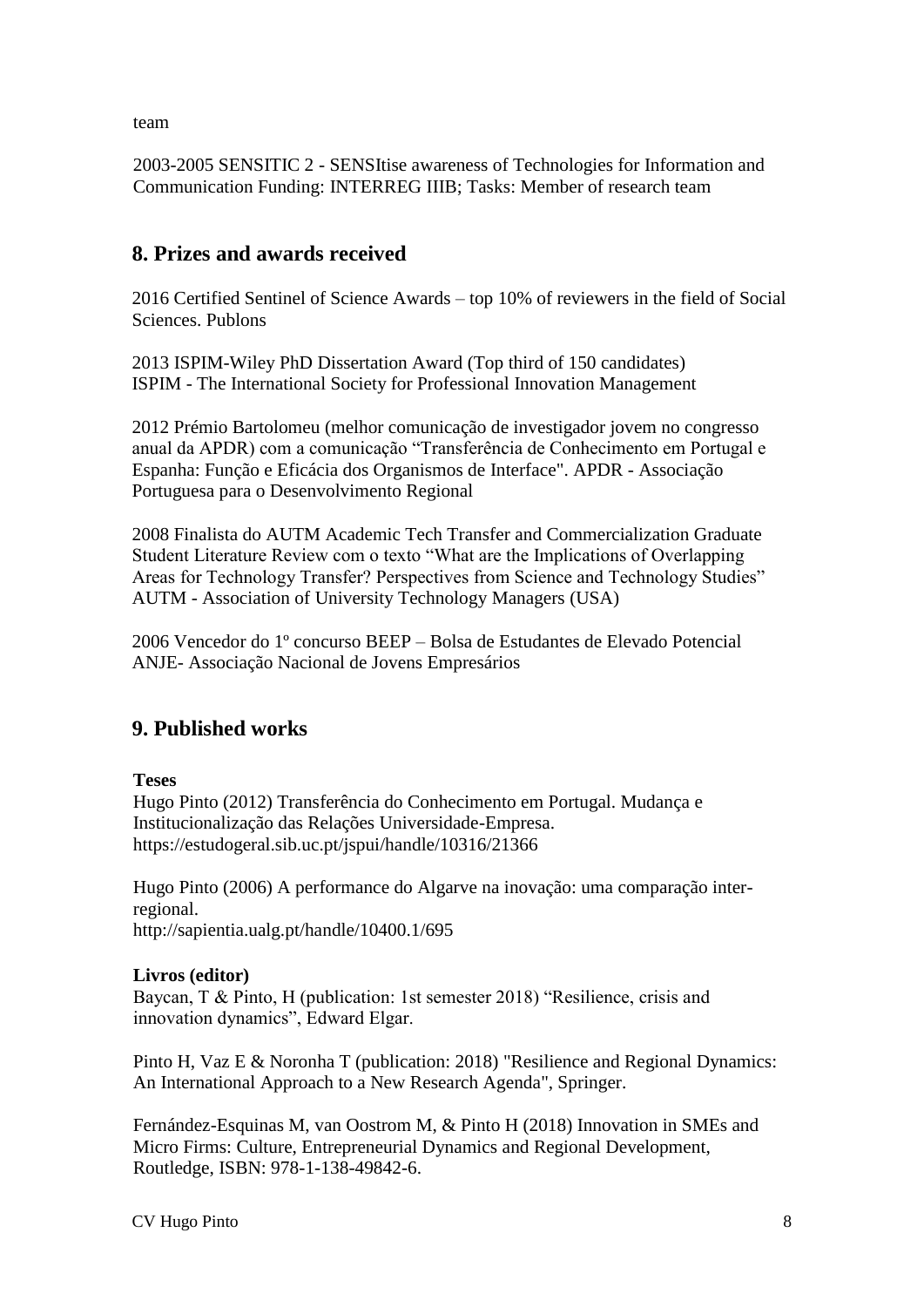team

2003-2005 SENSITIC 2 - SENSItise awareness of Technologies for Information and Communication Funding: INTERREG IIIB; Tasks: Member of research team

# **8. Prizes and awards received**

2016 Certified Sentinel of Science Awards – top 10% of reviewers in the field of Social Sciences. Publons

2013 ISPIM-Wiley PhD Dissertation Award (Top third of 150 candidates) ISPIM - The International Society for Professional Innovation Management

2012 Prémio Bartolomeu (melhor comunicação de investigador jovem no congresso anual da APDR) com a comunicação "Transferência de Conhecimento em Portugal e Espanha: Função e Eficácia dos Organismos de Interface". APDR - Associação Portuguesa para o Desenvolvimento Regional

2008 Finalista do AUTM Academic Tech Transfer and Commercialization Graduate Student Literature Review com o texto "What are the Implications of Overlapping Areas for Technology Transfer? Perspectives from Science and Technology Studies" AUTM - Association of University Technology Managers (USA)

2006 Vencedor do 1º concurso BEEP – Bolsa de Estudantes de Elevado Potencial ANJE- Associação Nacional de Jovens Empresários

# **9. Published works**

**Teses** 

Hugo Pinto (2012) Transferência do Conhecimento em Portugal. Mudança e Institucionalização das Relações Universidade-Empresa. https://estudogeral.sib.uc.pt/jspui/handle/10316/21366

Hugo Pinto (2006) A performance do Algarve na inovação: uma comparação interregional. http://sapientia.ualg.pt/handle/10400.1/695

# **Livros (editor)**

Baycan, T & Pinto, H (publication: 1st semester 2018) "Resilience, crisis and innovation dynamics", Edward Elgar.

Pinto H, Vaz E & Noronha T (publication: 2018) "Resilience and Regional Dynamics: An International Approach to a New Research Agenda", Springer.

Fernández-Esquinas M, van Oostrom M, & Pinto H (2018) Innovation in SMEs and Micro Firms: Culture, Entrepreneurial Dynamics and Regional Development, Routledge, ISBN: 978-1-138-49842-6.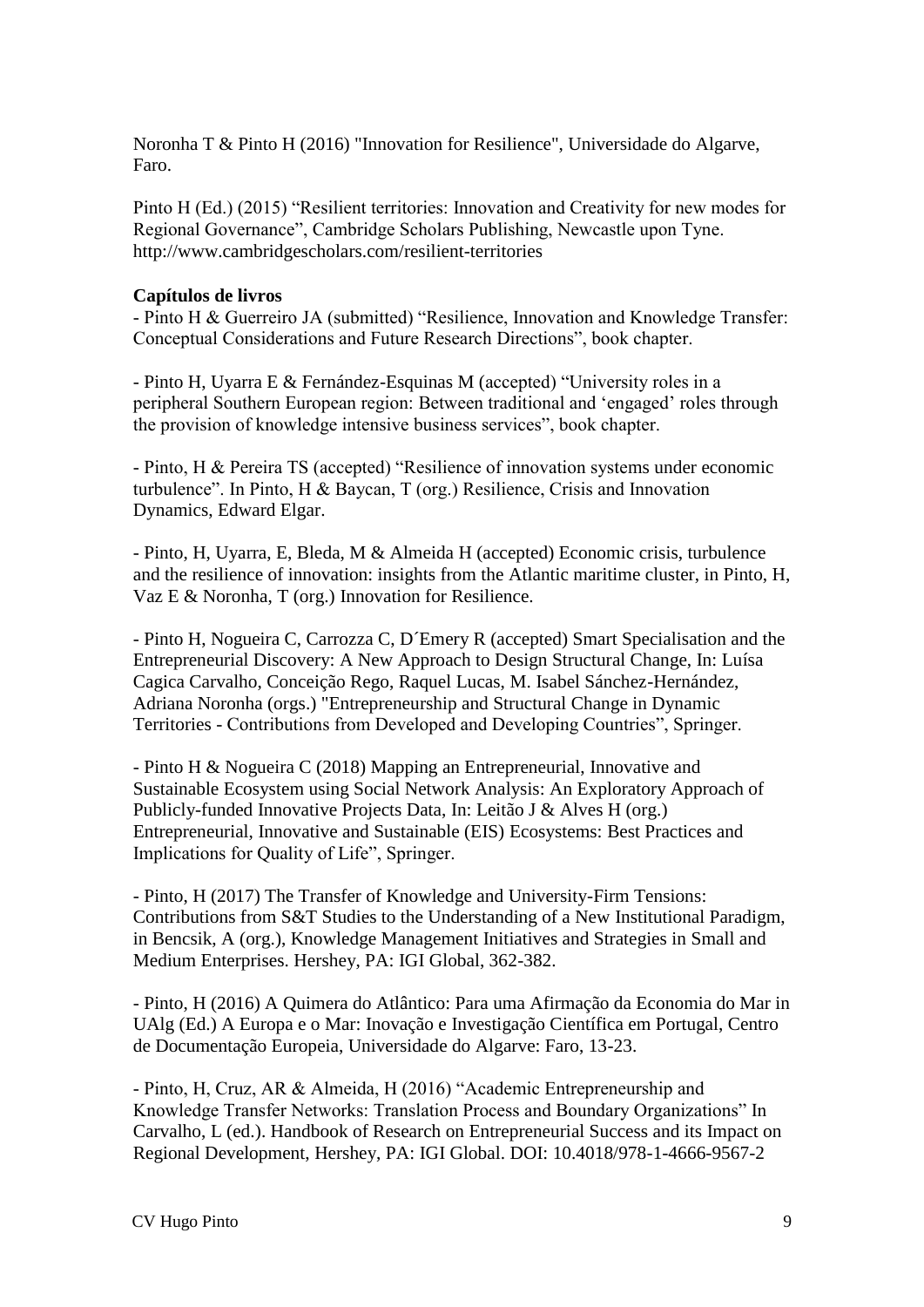Noronha T & Pinto H (2016) "Innovation for Resilience", Universidade do Algarve, Faro.

Pinto H (Ed.) (2015) "Resilient territories: Innovation and Creativity for new modes for Regional Governance", Cambridge Scholars Publishing, Newcastle upon Tyne. http://www.cambridgescholars.com/resilient-territories

#### **Capítulos de livros**

- Pinto H & Guerreiro JA (submitted) "Resilience, Innovation and Knowledge Transfer: Conceptual Considerations and Future Research Directions", book chapter.

- Pinto H, Uyarra E & Fernández-Esquinas M (accepted) "University roles in a peripheral Southern European region: Between traditional and 'engaged' roles through the provision of knowledge intensive business services", book chapter.

- Pinto, H & Pereira TS (accepted) "Resilience of innovation systems under economic turbulence". In Pinto, H & Baycan, T (org.) Resilience, Crisis and Innovation Dynamics, Edward Elgar.

- Pinto, H, Uyarra, E, Bleda, M & Almeida H (accepted) Economic crisis, turbulence and the resilience of innovation: insights from the Atlantic maritime cluster, in Pinto, H, Vaz E & Noronha, T (org.) Innovation for Resilience.

- Pinto H, Nogueira C, Carrozza C, D´Emery R (accepted) Smart Specialisation and the Entrepreneurial Discovery: A New Approach to Design Structural Change, In: Luísa Cagica Carvalho, Conceição Rego, Raquel Lucas, M. Isabel Sánchez-Hernández, Adriana Noronha (orgs.) "Entrepreneurship and Structural Change in Dynamic Territories - Contributions from Developed and Developing Countries", Springer.

- Pinto H & Nogueira C (2018) Mapping an Entrepreneurial, Innovative and Sustainable Ecosystem using Social Network Analysis: An Exploratory Approach of Publicly-funded Innovative Projects Data, In: Leitão J & Alves H (org.) Entrepreneurial, Innovative and Sustainable (EIS) Ecosystems: Best Practices and Implications for Quality of Life", Springer.

- Pinto, H (2017) The Transfer of Knowledge and University-Firm Tensions: Contributions from S&T Studies to the Understanding of a New Institutional Paradigm, in Bencsik, A (org.), Knowledge Management Initiatives and Strategies in Small and Medium Enterprises. Hershey, PA: IGI Global, 362-382.

- Pinto, H (2016) A Quimera do Atlântico: Para uma Afirmação da Economia do Mar in UAlg (Ed.) A Europa e o Mar: Inovação e Investigação Científica em Portugal, Centro de Documentação Europeia, Universidade do Algarve: Faro, 13-23.

- Pinto, H, Cruz, AR & Almeida, H (2016) "Academic Entrepreneurship and Knowledge Transfer Networks: Translation Process and Boundary Organizations" In Carvalho, L (ed.). Handbook of Research on Entrepreneurial Success and its Impact on Regional Development, Hershey, PA: IGI Global. DOI: 10.4018/978-1-4666-9567-2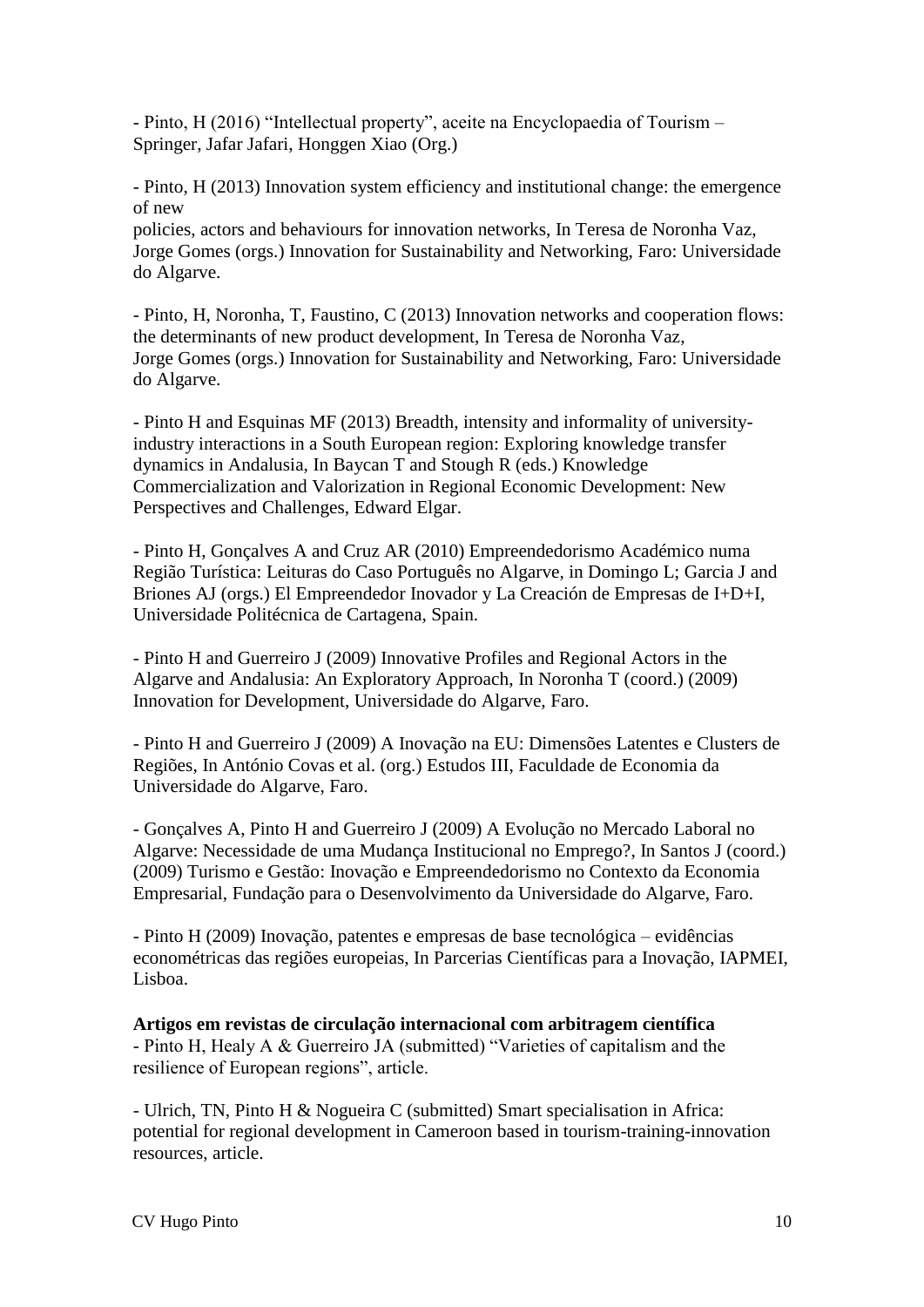- Pinto, H (2016) "Intellectual property", aceite na Encyclopaedia of Tourism – Springer, Jafar Jafari, Honggen Xiao (Org.)

- Pinto, H (2013) Innovation system efficiency and institutional change: the emergence of new

policies, actors and behaviours for innovation networks, In Teresa de Noronha Vaz, Jorge Gomes (orgs.) Innovation for Sustainability and Networking, Faro: Universidade do Algarve.

- Pinto, H, Noronha, T, Faustino, C (2013) Innovation networks and cooperation flows: the determinants of new product development, In Teresa de Noronha Vaz, Jorge Gomes (orgs.) Innovation for Sustainability and Networking, Faro: Universidade do Algarve.

- Pinto H and Esquinas MF (2013) Breadth, intensity and informality of universityindustry interactions in a South European region: Exploring knowledge transfer dynamics in Andalusia, In Baycan T and Stough R (eds.) Knowledge Commercialization and Valorization in Regional Economic Development: New Perspectives and Challenges, Edward Elgar.

- Pinto H, Gonçalves A and Cruz AR (2010) Empreendedorismo Académico numa Região Turística: Leituras do Caso Português no Algarve, in Domingo L; Garcia J and Briones AJ (orgs.) El Empreendedor Inovador y La Creación de Empresas de I+D+I, Universidade Politécnica de Cartagena, Spain.

- Pinto H and Guerreiro J (2009) Innovative Profiles and Regional Actors in the Algarve and Andalusia: An Exploratory Approach, In Noronha T (coord.) (2009) Innovation for Development, Universidade do Algarve, Faro.

- Pinto H and Guerreiro J (2009) A Inovação na EU: Dimensões Latentes e Clusters de Regiões, In António Covas et al. (org.) Estudos III, Faculdade de Economia da Universidade do Algarve, Faro.

- Gonçalves A, Pinto H and Guerreiro J (2009) A Evolução no Mercado Laboral no Algarve: Necessidade de uma Mudança Institucional no Emprego?, In Santos J (coord.) (2009) Turismo e Gestão: Inovação e Empreendedorismo no Contexto da Economia Empresarial, Fundação para o Desenvolvimento da Universidade do Algarve, Faro.

- Pinto H (2009) Inovação, patentes e empresas de base tecnológica – evidências econométricas das regiões europeias, In Parcerias Científicas para a Inovação, IAPMEI, Lisboa.

**Artigos em revistas de circulação internacional com arbitragem científica** - Pinto H, Healy A & Guerreiro JA (submitted) "Varieties of capitalism and the resilience of European regions", article.

- Ulrich, TN, Pinto H & Nogueira C (submitted) Smart specialisation in Africa: potential for regional development in Cameroon based in tourism-training-innovation resources, article.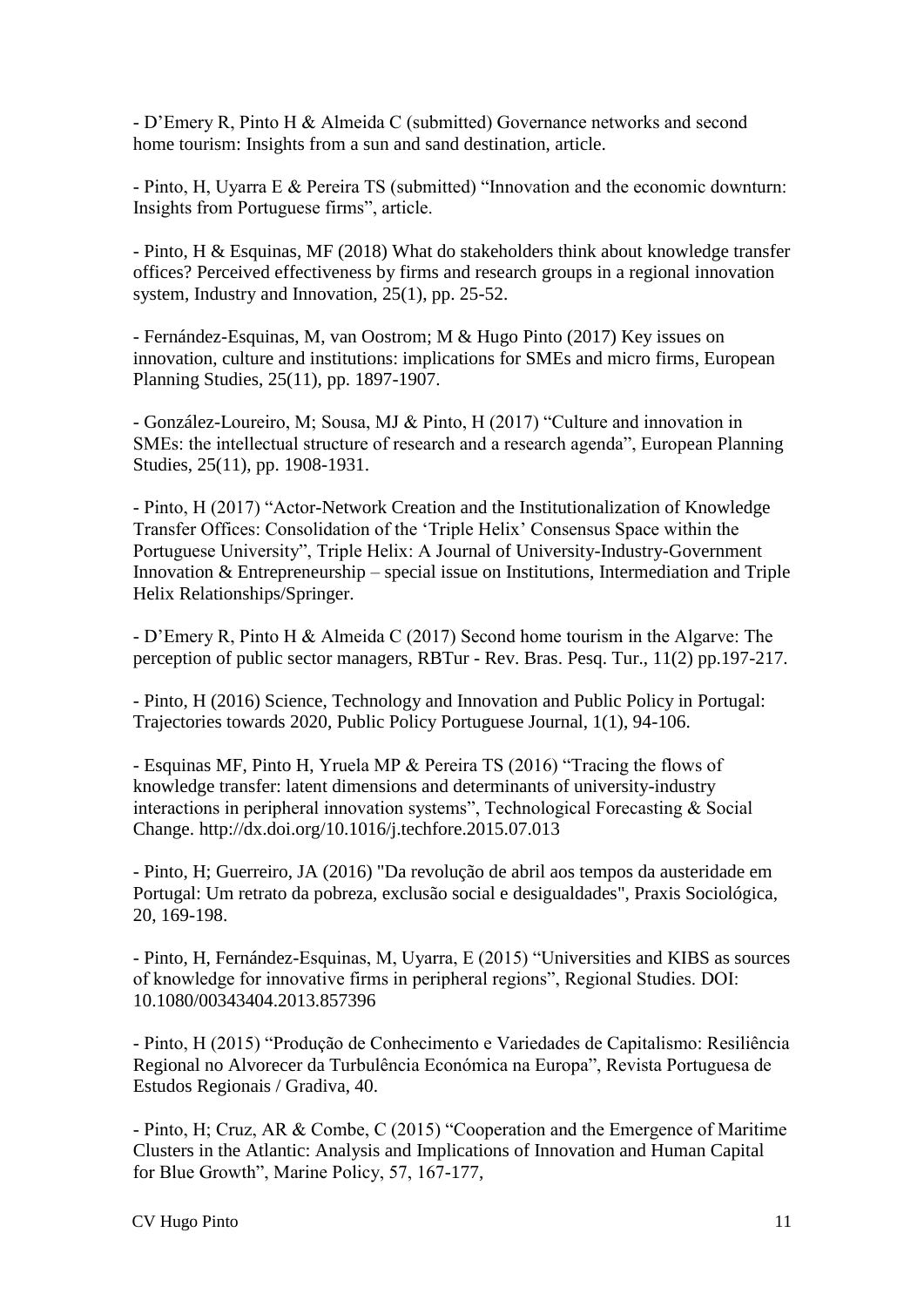- D'Emery R, Pinto H & Almeida C (submitted) Governance networks and second home tourism: Insights from a sun and sand destination, article.

- Pinto, H, Uyarra E & Pereira TS (submitted) "Innovation and the economic downturn: Insights from Portuguese firms", article.

- Pinto, H & Esquinas, MF (2018) What do stakeholders think about knowledge transfer offices? Perceived effectiveness by firms and research groups in a regional innovation system, Industry and Innovation, 25(1), pp. 25-52.

- Fernández-Esquinas, M, van Oostrom; M & Hugo Pinto (2017) Key issues on innovation, culture and institutions: implications for SMEs and micro firms, European Planning Studies, 25(11), pp. 1897-1907.

- González-Loureiro, M; Sousa, MJ & Pinto, H (2017) "Culture and innovation in SMEs: the intellectual structure of research and a research agenda", European Planning Studies, 25(11), pp. 1908-1931.

- Pinto, H (2017) "Actor-Network Creation and the Institutionalization of Knowledge Transfer Offices: Consolidation of the 'Triple Helix' Consensus Space within the Portuguese University", Triple Helix: A Journal of University-Industry-Government Innovation & Entrepreneurship – special issue on Institutions, Intermediation and Triple Helix Relationships/Springer.

- D'Emery R, Pinto H & Almeida C (2017) Second home tourism in the Algarve: The perception of public sector managers, RBTur - Rev. Bras. Pesq. Tur., 11(2) pp.197-217.

- Pinto, H (2016) Science, Technology and Innovation and Public Policy in Portugal: Trajectories towards 2020, Public Policy Portuguese Journal, 1(1), 94-106.

- Esquinas MF, Pinto H, Yruela MP & Pereira TS (2016) "Tracing the flows of knowledge transfer: latent dimensions and determinants of university-industry interactions in peripheral innovation systems", Technological Forecasting & Social Change. http://dx.doi.org/10.1016/j.techfore.2015.07.013

- Pinto, H; Guerreiro, JA (2016) "Da revolução de abril aos tempos da austeridade em Portugal: Um retrato da pobreza, exclusão social e desigualdades", Praxis Sociológica, 20, 169-198.

- Pinto, H, Fernández-Esquinas, M, Uyarra, E (2015) "Universities and KIBS as sources of knowledge for innovative firms in peripheral regions", Regional Studies. DOI: 10.1080/00343404.2013.857396

- Pinto, H (2015) "Produção de Conhecimento e Variedades de Capitalismo: Resiliência Regional no Alvorecer da Turbulência Económica na Europa", Revista Portuguesa de Estudos Regionais / Gradiva, 40.

- Pinto, H; Cruz, AR & Combe, C (2015) "Cooperation and the Emergence of Maritime Clusters in the Atlantic: Analysis and Implications of Innovation and Human Capital for Blue Growth", Marine Policy, 57, 167-177,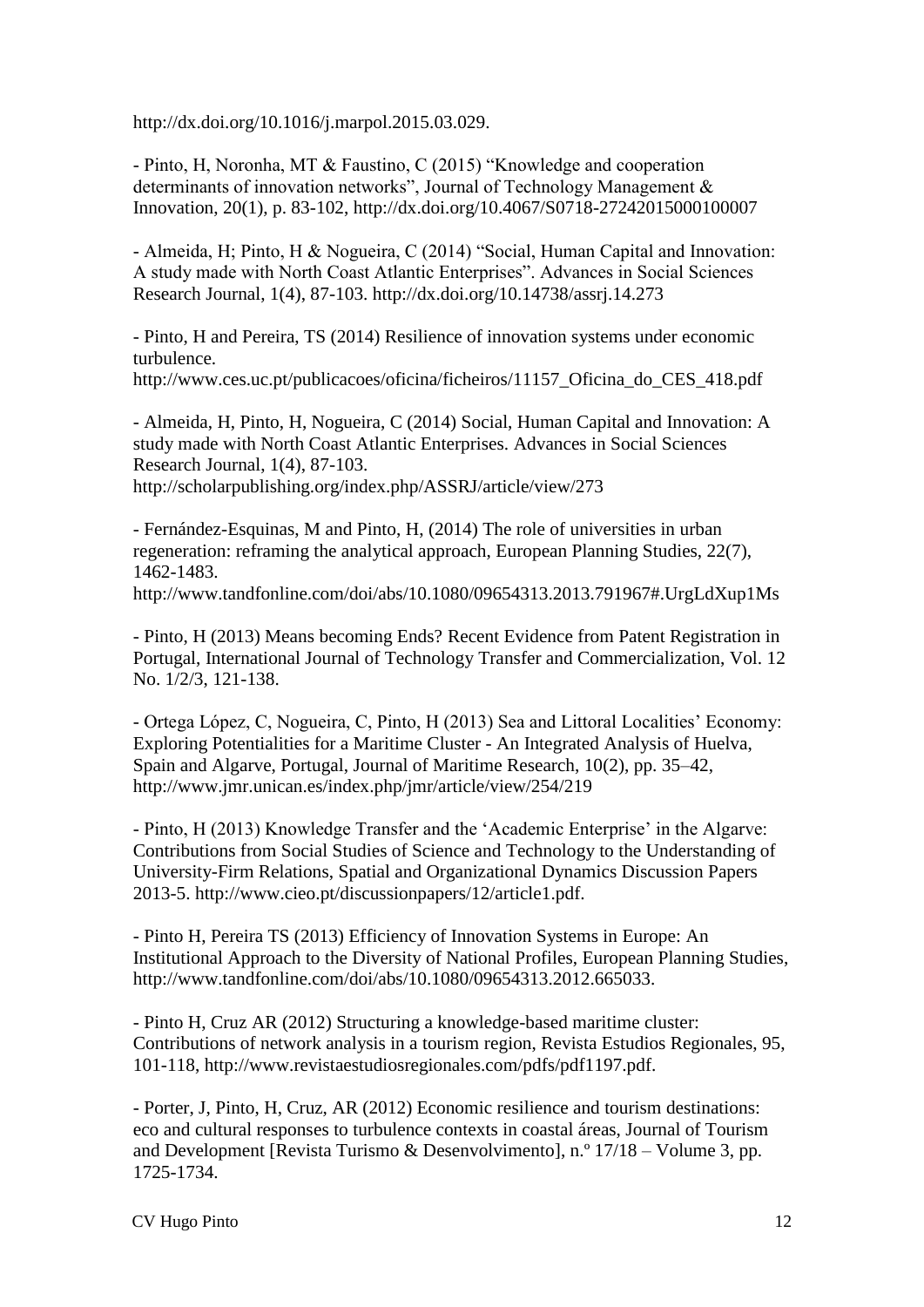http://dx.doi.org/10.1016/j.marpol.2015.03.029.

- Pinto, H, Noronha, MT & Faustino, C (2015) "Knowledge and cooperation determinants of innovation networks", Journal of Technology Management & Innovation, 20(1), p. 83-102, http://dx.doi.org/10.4067/S0718-27242015000100007

- Almeida, H; Pinto, H & Nogueira, C (2014) "Social, Human Capital and Innovation: A study made with North Coast Atlantic Enterprises". Advances in Social Sciences Research Journal, 1(4), 87-103. http://dx.doi.org/10.14738/assrj.14.273

- Pinto, H and Pereira, TS (2014) Resilience of innovation systems under economic turbulence.

http://www.ces.uc.pt/publicacoes/oficina/ficheiros/11157 Oficina do CES 418.pdf

- Almeida, H, Pinto, H, Nogueira, C (2014) Social, Human Capital and Innovation: A study made with North Coast Atlantic Enterprises. Advances in Social Sciences Research Journal, 1(4), 87-103. http://scholarpublishing.org/index.php/ASSRJ/article/view/273

- Fernández-Esquinas, M and Pinto, H, (2014) The role of universities in urban regeneration: reframing the analytical approach, European Planning Studies, 22(7), 1462-1483.

http://www.tandfonline.com/doi/abs/10.1080/09654313.2013.791967#.UrgLdXup1Ms

- Pinto, H (2013) Means becoming Ends? Recent Evidence from Patent Registration in Portugal, International Journal of Technology Transfer and Commercialization, Vol. 12 No. 1/2/3, 121-138.

- Ortega López, C, Nogueira, C, Pinto, H (2013) Sea and Littoral Localities' Economy: Exploring Potentialities for a Maritime Cluster - An Integrated Analysis of Huelva, Spain and Algarve, Portugal, Journal of Maritime Research, 10(2), pp. 35–42, http://www.jmr.unican.es/index.php/jmr/article/view/254/219

- Pinto, H (2013) Knowledge Transfer and the 'Academic Enterprise' in the Algarve: Contributions from Social Studies of Science and Technology to the Understanding of University-Firm Relations, Spatial and Organizational Dynamics Discussion Papers 2013-5. http://www.cieo.pt/discussionpapers/12/article1.pdf.

- Pinto H, Pereira TS (2013) Efficiency of Innovation Systems in Europe: An Institutional Approach to the Diversity of National Profiles, European Planning Studies, http://www.tandfonline.com/doi/abs/10.1080/09654313.2012.665033.

- Pinto H, Cruz AR (2012) Structuring a knowledge-based maritime cluster: Contributions of network analysis in a tourism region, Revista Estudios Regionales, 95, 101-118, http://www.revistaestudiosregionales.com/pdfs/pdf1197.pdf.

- Porter, J, Pinto, H, Cruz, AR (2012) Economic resilience and tourism destinations: eco and cultural responses to turbulence contexts in coastal áreas, Journal of Tourism and Development [Revista Turismo & Desenvolvimento], n.º  $17/18 -$  Volume 3, pp. 1725-1734.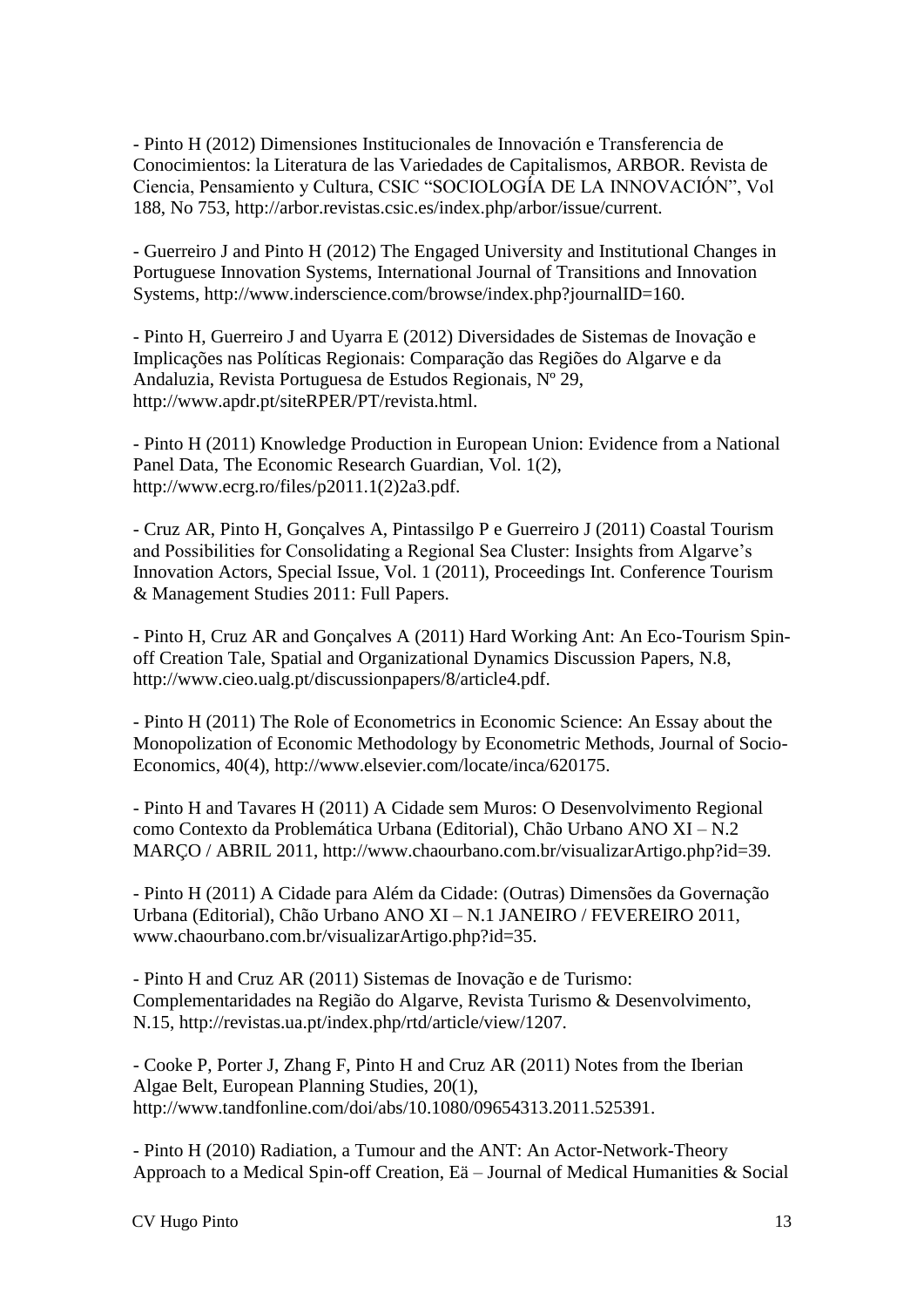- Pinto H (2012) Dimensiones Institucionales de Innovación e Transferencia de Conocimientos: la Literatura de las Variedades de Capitalismos, ARBOR. Revista de Ciencia, Pensamiento y Cultura, CSIC "SOCIOLOGÍA DE LA INNOVACIÓN", Vol 188, No 753, http://arbor.revistas.csic.es/index.php/arbor/issue/current.

- Guerreiro J and Pinto H (2012) The Engaged University and Institutional Changes in Portuguese Innovation Systems, International Journal of Transitions and Innovation Systems, http://www.inderscience.com/browse/index.php?journalID=160.

- Pinto H, Guerreiro J and Uyarra E (2012) Diversidades de Sistemas de Inovação e Implicações nas Políticas Regionais: Comparação das Regiões do Algarve e da Andaluzia, Revista Portuguesa de Estudos Regionais, Nº 29, http://www.apdr.pt/siteRPER/PT/revista.html.

- Pinto H (2011) Knowledge Production in European Union: Evidence from a National Panel Data, The Economic Research Guardian, Vol. 1(2), http://www.ecrg.ro/files/p2011.1(2)2a3.pdf.

- Cruz AR, Pinto H, Gonçalves A, Pintassilgo P e Guerreiro J (2011) Coastal Tourism and Possibilities for Consolidating a Regional Sea Cluster: Insights from Algarve's Innovation Actors, Special Issue, Vol. 1 (2011), Proceedings Int. Conference Tourism & Management Studies 2011: Full Papers.

- Pinto H, Cruz AR and Gonçalves A (2011) Hard Working Ant: An Eco-Tourism Spinoff Creation Tale, Spatial and Organizational Dynamics Discussion Papers, N.8, http://www.cieo.ualg.pt/discussionpapers/8/article4.pdf.

- Pinto H (2011) The Role of Econometrics in Economic Science: An Essay about the Monopolization of Economic Methodology by Econometric Methods, Journal of Socio-Economics, 40(4), http://www.elsevier.com/locate/inca/620175.

- Pinto H and Tavares H (2011) A Cidade sem Muros: O Desenvolvimento Regional como Contexto da Problemática Urbana (Editorial), Chão Urbano ANO XI – N.2 MARÇO / ABRIL 2011, http://www.chaourbano.com.br/visualizarArtigo.php?id=39.

- Pinto H (2011) A Cidade para Além da Cidade: (Outras) Dimensões da Governação Urbana (Editorial), Chão Urbano ANO XI – N.1 JANEIRO / FEVEREIRO 2011, www.chaourbano.com.br/visualizarArtigo.php?id=35.

- Pinto H and Cruz AR (2011) Sistemas de Inovação e de Turismo: Complementaridades na Região do Algarve, Revista Turismo & Desenvolvimento, N.15, http://revistas.ua.pt/index.php/rtd/article/view/1207.

- Cooke P, Porter J, Zhang F, Pinto H and Cruz AR (2011) Notes from the Iberian Algae Belt, European Planning Studies, 20(1), http://www.tandfonline.com/doi/abs/10.1080/09654313.2011.525391.

- Pinto H (2010) Radiation, a Tumour and the ANT: An Actor-Network-Theory Approach to a Medical Spin-off Creation, Eä – Journal of Medical Humanities & Social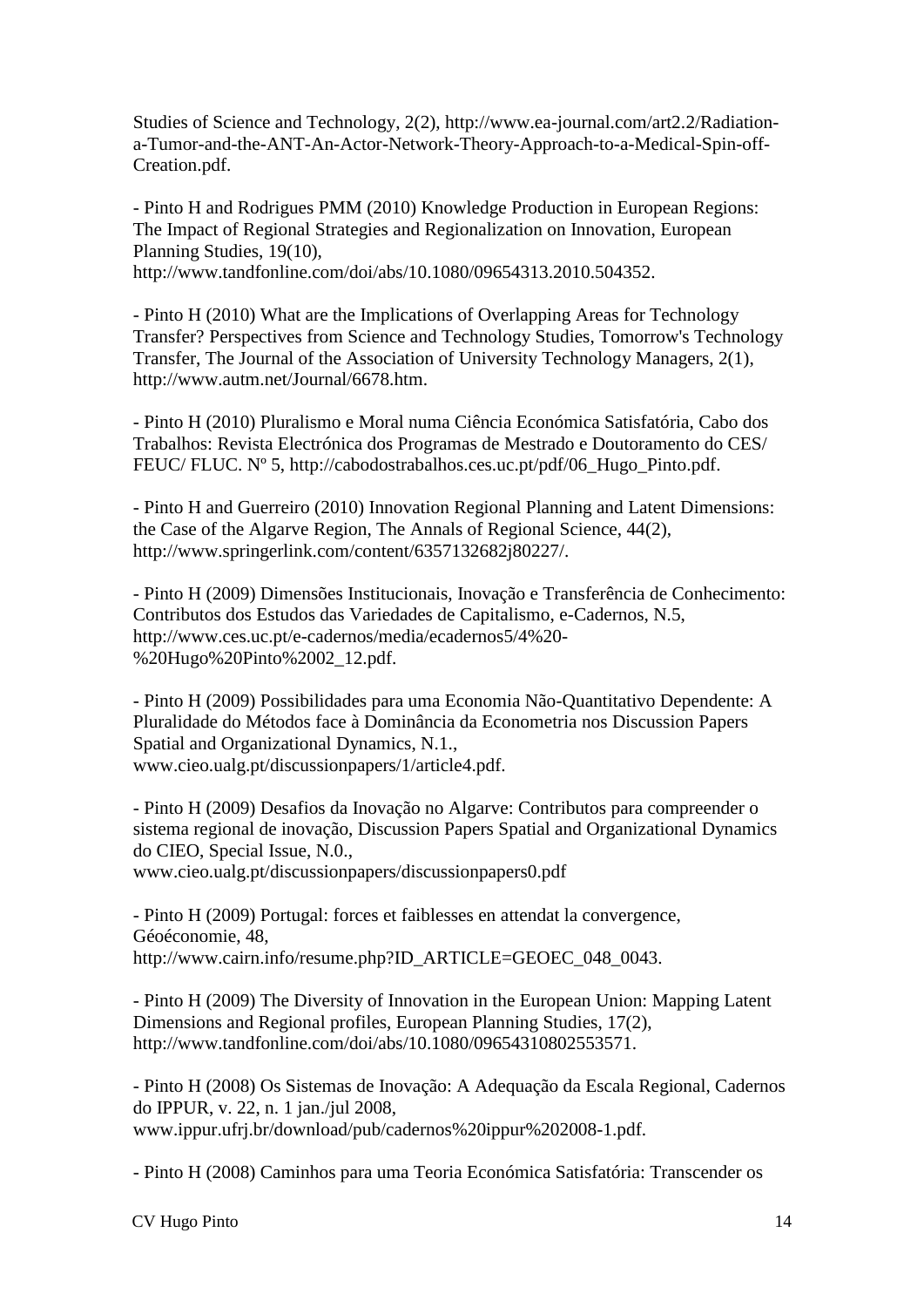Studies of Science and Technology, 2(2), http://www.ea-journal.com/art2.2/Radiationa-Tumor-and-the-ANT-An-Actor-Network-Theory-Approach-to-a-Medical-Spin-off-Creation.pdf.

- Pinto H and Rodrigues PMM (2010) Knowledge Production in European Regions: The Impact of Regional Strategies and Regionalization on Innovation, European Planning Studies, 19(10), http://www.tandfonline.com/doi/abs/10.1080/09654313.2010.504352.

- Pinto H (2010) What are the Implications of Overlapping Areas for Technology Transfer? Perspectives from Science and Technology Studies, Tomorrow's Technology Transfer, The Journal of the Association of University Technology Managers, 2(1), http://www.autm.net/Journal/6678.htm.

- Pinto H (2010) Pluralismo e Moral numa Ciência Económica Satisfatória, Cabo dos Trabalhos: Revista Electrónica dos Programas de Mestrado e Doutoramento do CES/ FEUC/ FLUC. Nº 5, http://cabodostrabalhos.ces.uc.pt/pdf/06\_Hugo\_Pinto.pdf.

- Pinto H and Guerreiro (2010) Innovation Regional Planning and Latent Dimensions: the Case of the Algarve Region, The Annals of Regional Science, 44(2), http://www.springerlink.com/content/6357132682j80227/.

- Pinto H (2009) Dimensões Institucionais, Inovação e Transferência de Conhecimento: Contributos dos Estudos das Variedades de Capitalismo, e-Cadernos, N.5, http://www.ces.uc.pt/e-cadernos/media/ecadernos5/4%20- %20Hugo%20Pinto%2002\_12.pdf.

- Pinto H (2009) Possibilidades para uma Economia Não-Quantitativo Dependente: A Pluralidade do Métodos face à Dominância da Econometria nos Discussion Papers Spatial and Organizational Dynamics, N.1., www.cieo.ualg.pt/discussionpapers/1/article4.pdf.

- Pinto H (2009) Desafios da Inovação no Algarve: Contributos para compreender o sistema regional de inovação, Discussion Papers Spatial and Organizational Dynamics do CIEO, Special Issue, N.0.,

www.cieo.ualg.pt/discussionpapers/discussionpapers0.pdf

- Pinto H (2009) Portugal: forces et faiblesses en attendat la convergence, Géoéconomie, 48, http://www.cairn.info/resume.php?ID\_ARTICLE=GEOEC\_048\_0043.

- Pinto H (2009) The Diversity of Innovation in the European Union: Mapping Latent Dimensions and Regional profiles, European Planning Studies, 17(2), http://www.tandfonline.com/doi/abs/10.1080/09654310802553571.

- Pinto H (2008) Os Sistemas de Inovação: A Adequação da Escala Regional, Cadernos do IPPUR, v. 22, n. 1 jan./jul 2008, www.ippur.ufrj.br/download/pub/cadernos%20ippur%202008-1.pdf.

- Pinto H (2008) Caminhos para uma Teoria Económica Satisfatória: Transcender os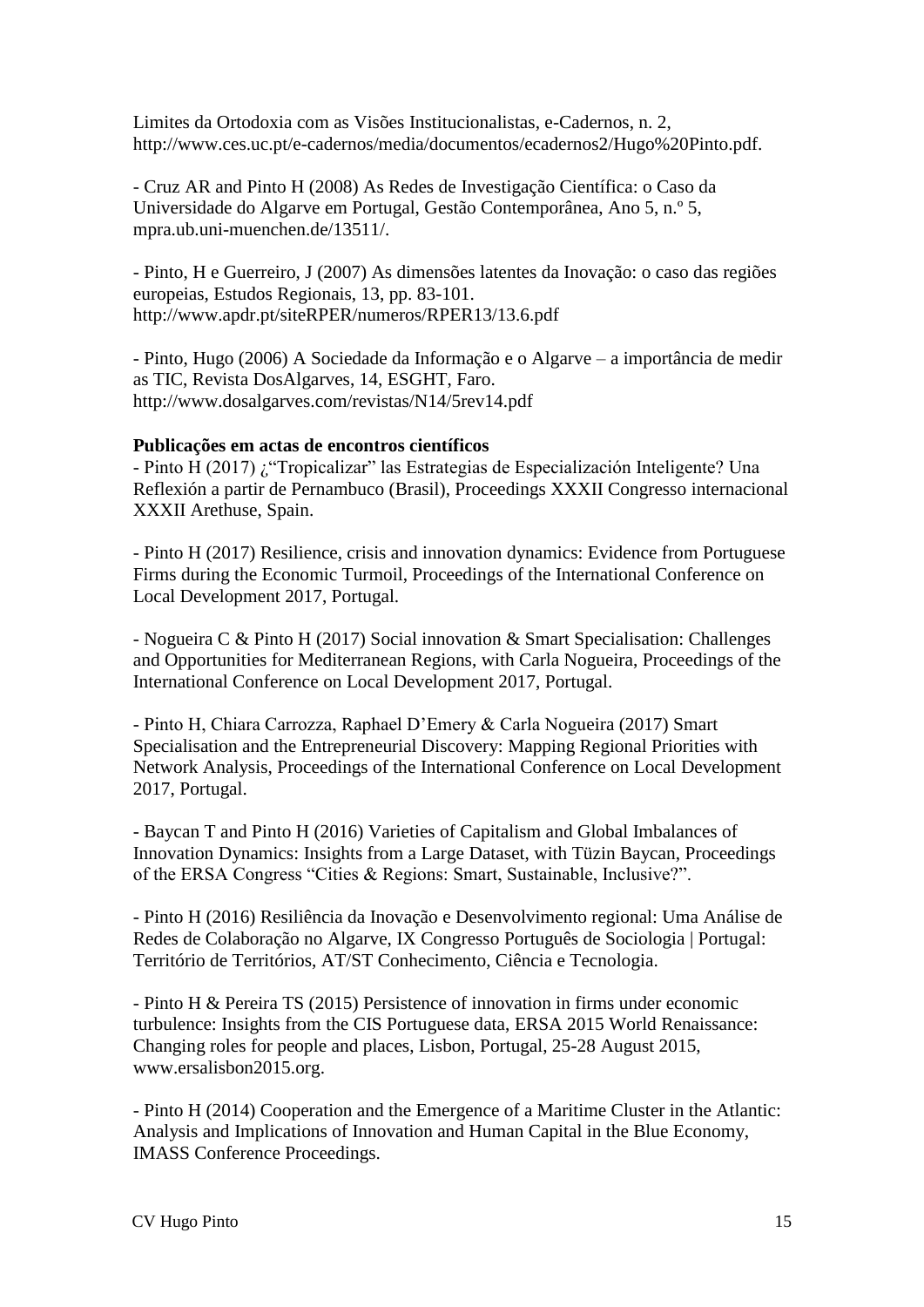Limites da Ortodoxia com as Visões Institucionalistas, e-Cadernos, n. 2, http://www.ces.uc.pt/e-cadernos/media/documentos/ecadernos2/Hugo%20Pinto.pdf.

- Cruz AR and Pinto H (2008) As Redes de Investigação Científica: o Caso da Universidade do Algarve em Portugal, Gestão Contemporânea, Ano 5, n.º 5, mpra.ub.uni-muenchen.de/13511/.

- Pinto, H e Guerreiro, J (2007) As dimensões latentes da Inovação: o caso das regiões europeias, Estudos Regionais, 13, pp. 83-101. http://www.apdr.pt/siteRPER/numeros/RPER13/13.6.pdf

- Pinto, Hugo (2006) A Sociedade da Informação e o Algarve – a importância de medir as TIC, Revista DosAlgarves, 14, ESGHT, Faro. http://www.dosalgarves.com/revistas/N14/5rev14.pdf

#### **Publicações em actas de encontros científicos**

- Pinto H (2017) ¿"Tropicalizar" las Estrategias de Especialización Inteligente? Una Reflexión a partir de Pernambuco (Brasil), Proceedings XXXII Congresso internacional XXXII Arethuse, Spain.

- Pinto H (2017) Resilience, crisis and innovation dynamics: Evidence from Portuguese Firms during the Economic Turmoil, Proceedings of the International Conference on Local Development 2017, Portugal.

- Nogueira C & Pinto H (2017) Social innovation & Smart Specialisation: Challenges and Opportunities for Mediterranean Regions, with Carla Nogueira, Proceedings of the International Conference on Local Development 2017, Portugal.

- Pinto H, Chiara Carrozza, Raphael D'Emery & Carla Nogueira (2017) Smart Specialisation and the Entrepreneurial Discovery: Mapping Regional Priorities with Network Analysis, Proceedings of the International Conference on Local Development 2017, Portugal.

- Baycan T and Pinto H (2016) Varieties of Capitalism and Global Imbalances of Innovation Dynamics: Insights from a Large Dataset, with Tüzin Baycan, Proceedings of the ERSA Congress "Cities & Regions: Smart, Sustainable, Inclusive?".

- Pinto H (2016) Resiliência da Inovação e Desenvolvimento regional: Uma Análise de Redes de Colaboração no Algarve, IX Congresso Português de Sociologia | Portugal: Território de Territórios, AT/ST Conhecimento, Ciência e Tecnologia.

- Pinto H & Pereira TS (2015) Persistence of innovation in firms under economic turbulence: Insights from the CIS Portuguese data, ERSA 2015 World Renaissance: Changing roles for people and places, Lisbon, Portugal, 25-28 August 2015, www.ersalisbon2015.org.

- Pinto H (2014) Cooperation and the Emergence of a Maritime Cluster in the Atlantic: Analysis and Implications of Innovation and Human Capital in the Blue Economy, IMASS Conference Proceedings.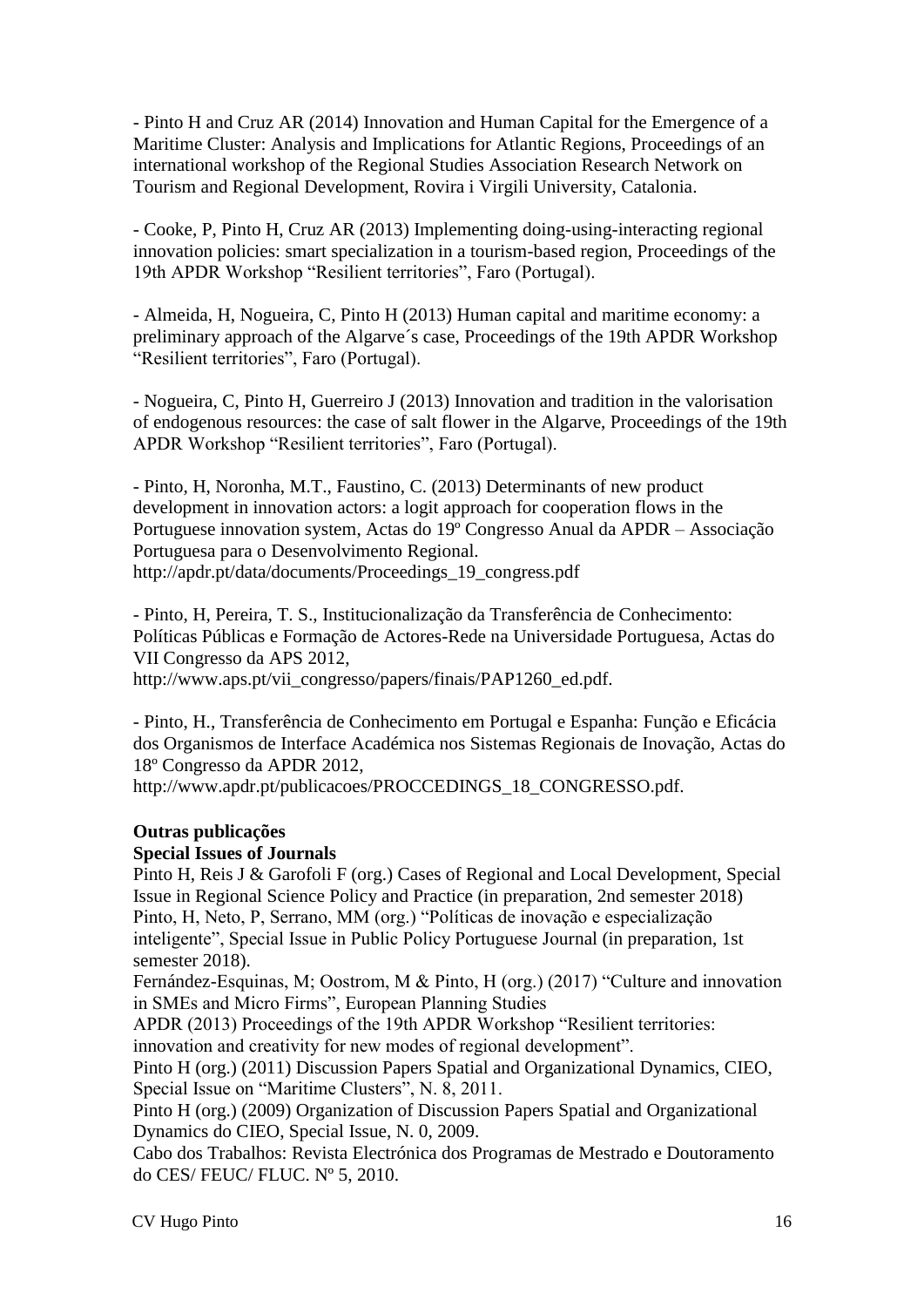- Pinto H and Cruz AR (2014) Innovation and Human Capital for the Emergence of a Maritime Cluster: Analysis and Implications for Atlantic Regions, Proceedings of an international workshop of the Regional Studies Association Research Network on Tourism and Regional Development, Rovira i Virgili University, Catalonia.

- Cooke, P, Pinto H, Cruz AR (2013) Implementing doing-using-interacting regional innovation policies: smart specialization in a tourism-based region, Proceedings of the 19th APDR Workshop "Resilient territories", Faro (Portugal).

- Almeida, H, Nogueira, C, Pinto H (2013) Human capital and maritime economy: a preliminary approach of the Algarve´s case, Proceedings of the 19th APDR Workshop "Resilient territories", Faro (Portugal).

- Nogueira, C, Pinto H, Guerreiro J (2013) Innovation and tradition in the valorisation of endogenous resources: the case of salt flower in the Algarve, Proceedings of the 19th APDR Workshop "Resilient territories", Faro (Portugal).

- Pinto, H, Noronha, M.T., Faustino, C. (2013) Determinants of new product development in innovation actors: a logit approach for cooperation flows in the Portuguese innovation system, Actas do 19º Congresso Anual da APDR – Associação Portuguesa para o Desenvolvimento Regional. http://apdr.pt/data/documents/Proceedings\_19\_congress.pdf

- Pinto, H, Pereira, T. S., Institucionalização da Transferência de Conhecimento: Políticas Públicas e Formação de Actores-Rede na Universidade Portuguesa, Actas do VII Congresso da APS 2012, http://www.aps.pt/vii\_congresso/papers/finais/PAP1260\_ed.pdf.

- Pinto, H., Transferência de Conhecimento em Portugal e Espanha: Função e Eficácia dos Organismos de Interface Académica nos Sistemas Regionais de Inovação, Actas do 18º Congresso da APDR 2012,

http://www.apdr.pt/publicacoes/PROCCEDINGS\_18\_CONGRESSO.pdf.

#### **Outras publicações**

#### **Special Issues of Journals**

Pinto H, Reis J & Garofoli F (org.) Cases of Regional and Local Development, Special Issue in Regional Science Policy and Practice (in preparation, 2nd semester 2018) Pinto, H, Neto, P, Serrano, MM (org.) "Políticas de inovação e especialização inteligente", Special Issue in Public Policy Portuguese Journal (in preparation, 1st semester 2018).

Fernández-Esquinas, M; Oostrom, M & Pinto, H (org.) (2017) "Culture and innovation in SMEs and Micro Firms", European Planning Studies

APDR (2013) Proceedings of the 19th APDR Workshop "Resilient territories: innovation and creativity for new modes of regional development".

Pinto H (org.) (2011) Discussion Papers Spatial and Organizational Dynamics, CIEO, Special Issue on "Maritime Clusters", N. 8, 2011.

Pinto H (org.) (2009) Organization of Discussion Papers Spatial and Organizational Dynamics do CIEO, Special Issue, N. 0, 2009.

Cabo dos Trabalhos: Revista Electrónica dos Programas de Mestrado e Doutoramento do CES/ FEUC/ FLUC. Nº 5, 2010.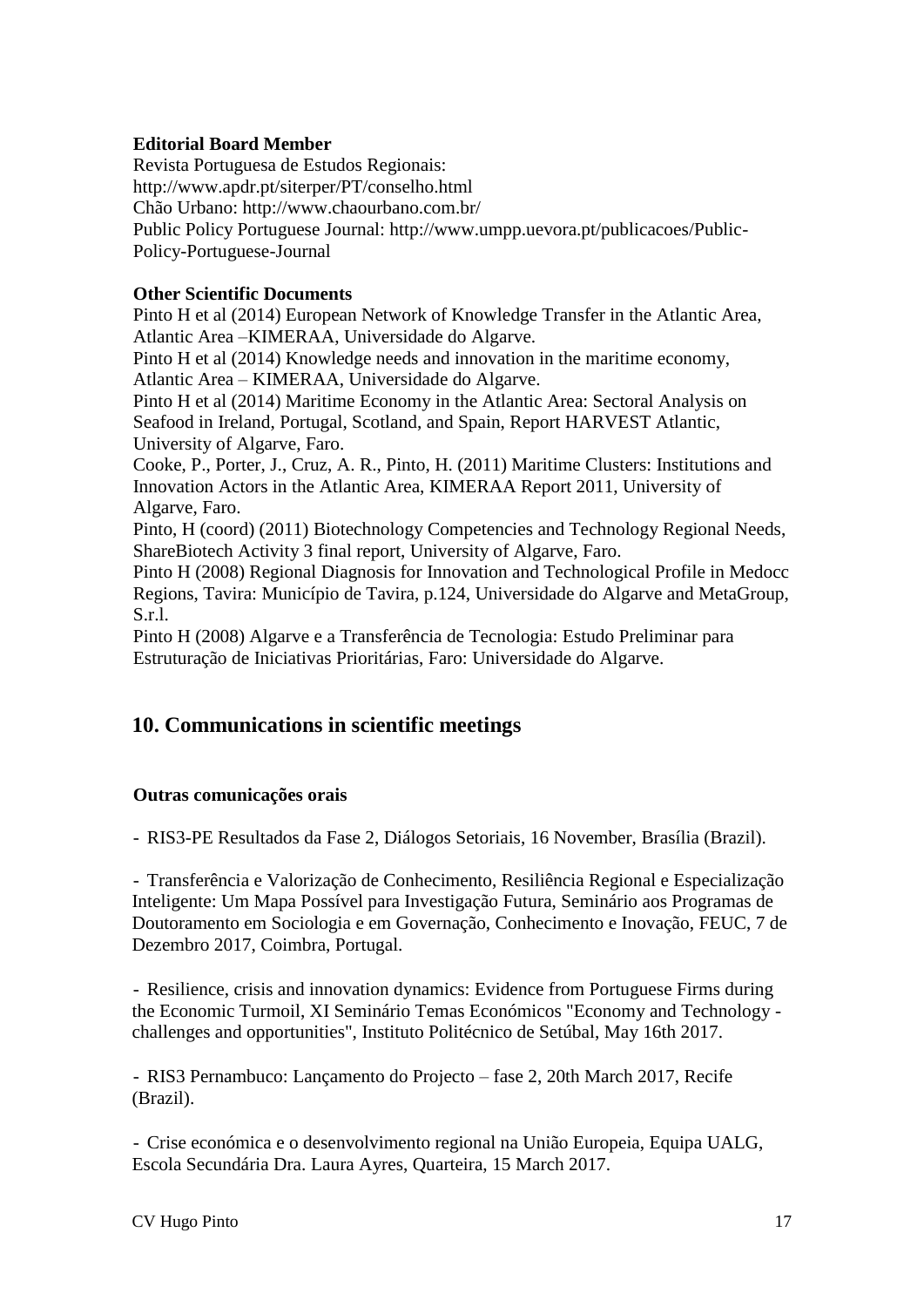# **Editorial Board Member**

Revista Portuguesa de Estudos Regionais: http://www.apdr.pt/siterper/PT/conselho.html Chão Urbano: http://www.chaourbano.com.br/ Public Policy Portuguese Journal: http://www.umpp.uevora.pt/publicacoes/Public-Policy-Portuguese-Journal

## **Other Scientific Documents**

Pinto H et al (2014) European Network of Knowledge Transfer in the Atlantic Area, Atlantic Area –KIMERAA, Universidade do Algarve.

Pinto H et al (2014) Knowledge needs and innovation in the maritime economy, Atlantic Area – KIMERAA, Universidade do Algarve.

Pinto H et al (2014) Maritime Economy in the Atlantic Area: Sectoral Analysis on Seafood in Ireland, Portugal, Scotland, and Spain, Report HARVEST Atlantic, University of Algarve, Faro.

Cooke, P., Porter, J., Cruz, A. R., Pinto, H. (2011) Maritime Clusters: Institutions and Innovation Actors in the Atlantic Area, KIMERAA Report 2011, University of Algarve, Faro.

Pinto, H (coord) (2011) Biotechnology Competencies and Technology Regional Needs, ShareBiotech Activity 3 final report, University of Algarve, Faro.

Pinto H (2008) Regional Diagnosis for Innovation and Technological Profile in Medocc Regions, Tavira: Município de Tavira, p.124, Universidade do Algarve and MetaGroup, S.r.l.

Pinto H (2008) Algarve e a Transferência de Tecnologia: Estudo Preliminar para Estruturação de Iniciativas Prioritárias, Faro: Universidade do Algarve.

# **10. Communications in scientific meetings**

#### **Outras comunicações orais**

- RIS3-PE Resultados da Fase 2, Diálogos Setoriais, 16 November, Brasília (Brazil).

- Transferência e Valorização de Conhecimento, Resiliência Regional e Especialização Inteligente: Um Mapa Possível para Investigação Futura, Seminário aos Programas de Doutoramento em Sociologia e em Governação, Conhecimento e Inovação, FEUC, 7 de Dezembro 2017, Coimbra, Portugal.

- Resilience, crisis and innovation dynamics: Evidence from Portuguese Firms during the Economic Turmoil, XI Seminário Temas Económicos "Economy and Technology challenges and opportunities", Instituto Politécnico de Setúbal, May 16th 2017.

- RIS3 Pernambuco: Lançamento do Projecto – fase 2, 20th March 2017, Recife (Brazil).

- Crise económica e o desenvolvimento regional na União Europeia, Equipa UALG, Escola Secundária Dra. Laura Ayres, Quarteira, 15 March 2017.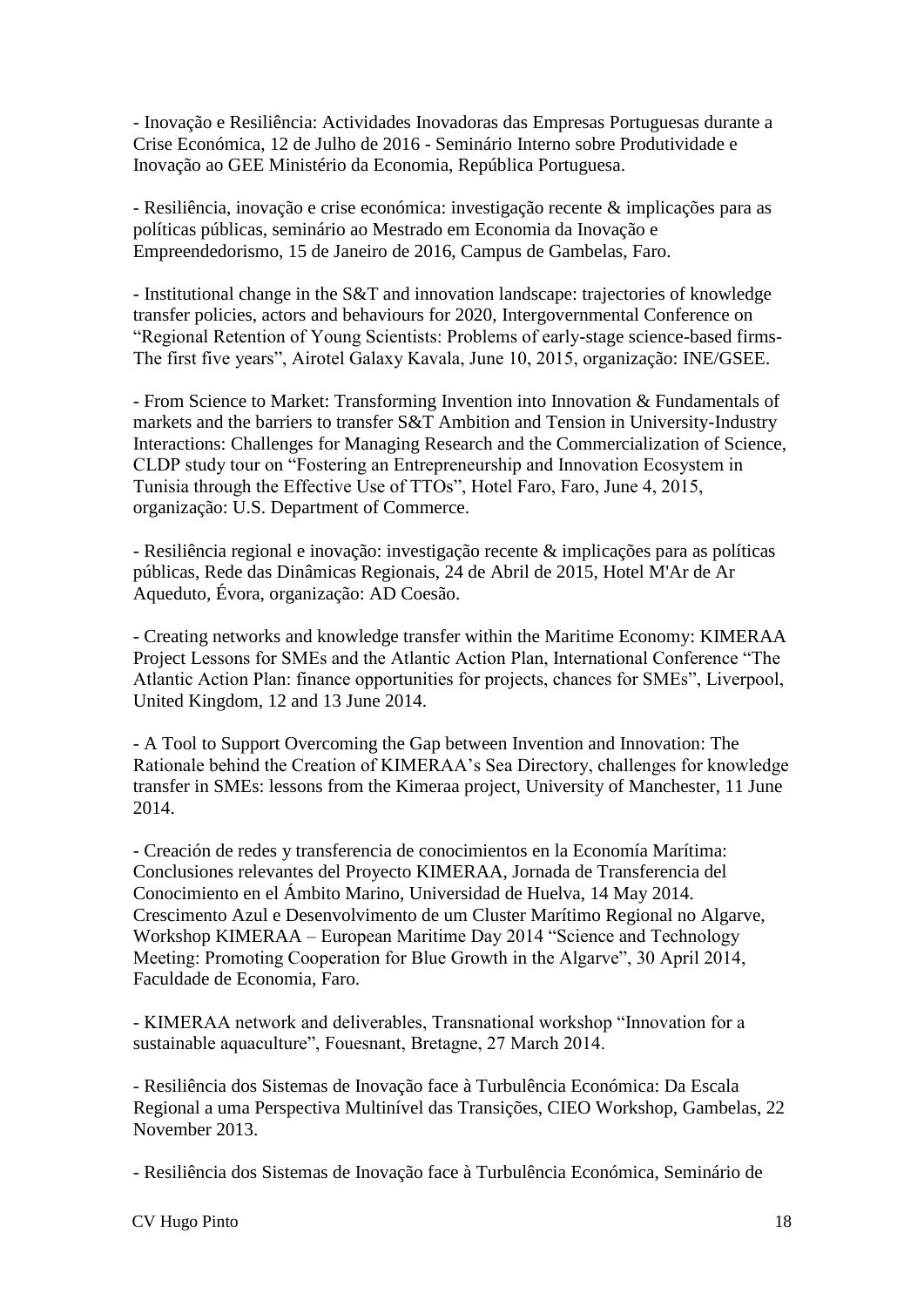- Inovação e Resiliência: Actividades Inovadoras das Empresas Portuguesas durante a Crise Económica, 12 de Julho de 2016 - Seminário Interno sobre Produtividade e Inovação ao GEE Ministério da Economia, República Portuguesa.

- Resiliência, inovação e crise económica: investigação recente & implicações para as políticas públicas, seminário ao Mestrado em Economia da Inovação e Empreendedorismo, 15 de Janeiro de 2016, Campus de Gambelas, Faro.

- Institutional change in the S&T and innovation landscape: trajectories of knowledge transfer policies, actors and behaviours for 2020, Intergovernmental Conference on "Regional Retention of Young Scientists: Problems of early-stage science-based firms-The first five years", Airotel Galaxy Kavala, June 10, 2015, organização: INE/GSEE.

- From Science to Market: Transforming Invention into Innovation & Fundamentals of markets and the barriers to transfer S&T Ambition and Tension in University-Industry Interactions: Challenges for Managing Research and the Commercialization of Science, CLDP study tour on "Fostering an Entrepreneurship and Innovation Ecosystem in Tunisia through the Effective Use of TTOs", Hotel Faro, Faro, June 4, 2015, organização: U.S. Department of Commerce.

- Resiliência regional e inovação: investigação recente & implicações para as políticas públicas, Rede das Dinâmicas Regionais, 24 de Abril de 2015, Hotel M'Ar de Ar Aqueduto, Évora, organização: AD Coesão.

- Creating networks and knowledge transfer within the Maritime Economy: KIMERAA Project Lessons for SMEs and the Atlantic Action Plan, International Conference "The Atlantic Action Plan: finance opportunities for projects, chances for SMEs", Liverpool, United Kingdom, 12 and 13 June 2014.

- A Tool to Support Overcoming the Gap between Invention and Innovation: The Rationale behind the Creation of KIMERAA's Sea Directory, challenges for knowledge transfer in SMEs: lessons from the Kimeraa project, University of Manchester, 11 June 2014.

- Creación de redes y transferencia de conocimientos en la Economía Marítima: Conclusiones relevantes del Proyecto KIMERAA, Jornada de Transferencia del Conocimiento en el Ámbito Marino, Universidad de Huelva, 14 May 2014. Crescimento Azul e Desenvolvimento de um Cluster Marítimo Regional no Algarve, Workshop KIMERAA – European Maritime Day 2014 "Science and Technology Meeting: Promoting Cooperation for Blue Growth in the Algarve", 30 April 2014, Faculdade de Economia, Faro.

- KIMERAA network and deliverables, Transnational workshop "Innovation for a sustainable aquaculture", Fouesnant, Bretagne, 27 March 2014.

- Resiliência dos Sistemas de Inovação face à Turbulência Económica: Da Escala Regional a uma Perspectiva Multinível das Transições, CIEO Workshop, Gambelas, 22 November 2013.

- Resiliência dos Sistemas de Inovação face à Turbulência Económica, Seminário de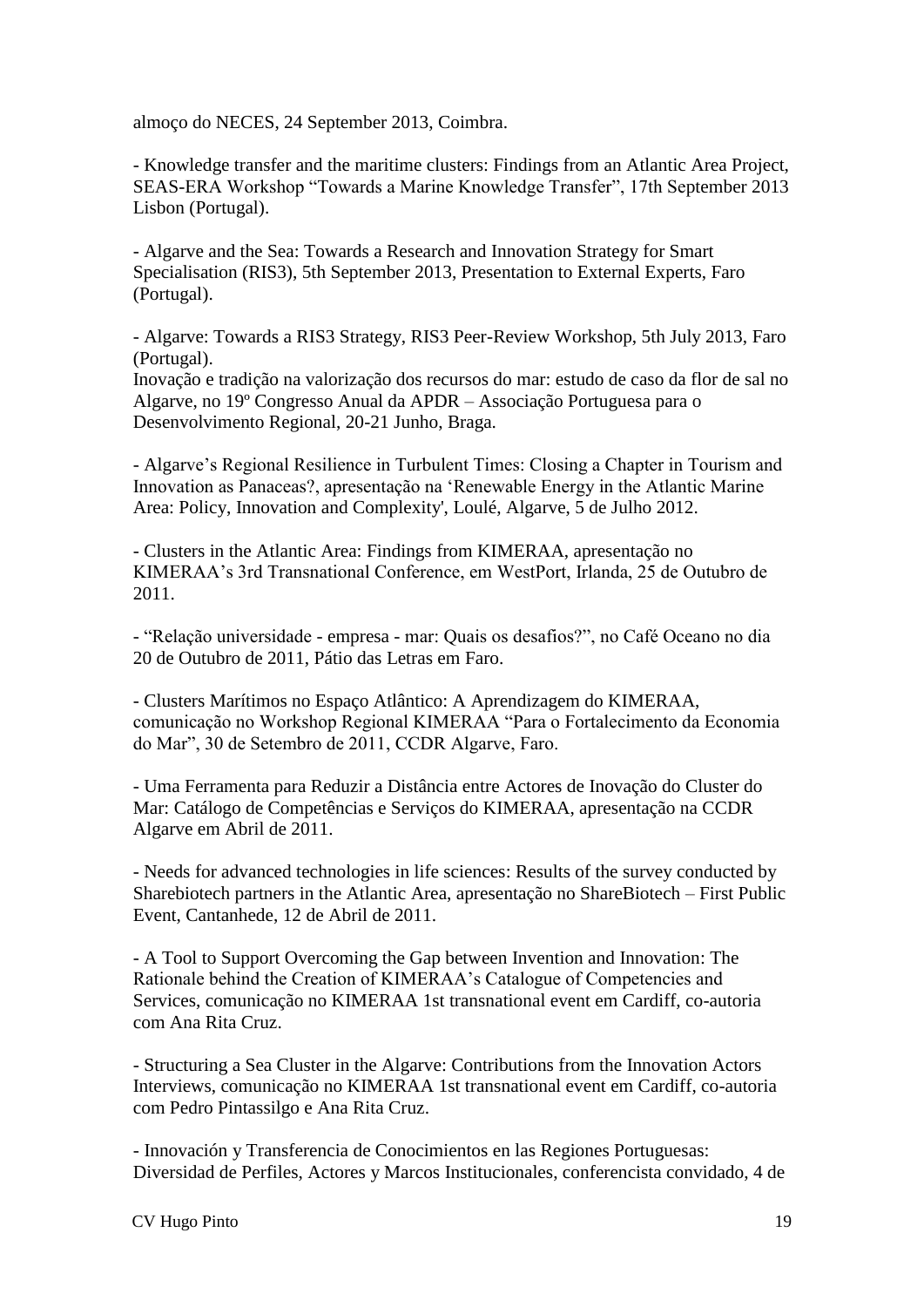almoço do NECES, 24 September 2013, Coimbra.

- Knowledge transfer and the maritime clusters: Findings from an Atlantic Area Project, SEAS-ERA Workshop "Towards a Marine Knowledge Transfer", 17th September 2013 Lisbon (Portugal).

- Algarve and the Sea: Towards a Research and Innovation Strategy for Smart Specialisation (RIS3), 5th September 2013, Presentation to External Experts, Faro (Portugal).

- Algarve: Towards a RIS3 Strategy, RIS3 Peer-Review Workshop, 5th July 2013, Faro (Portugal).

Inovação e tradição na valorização dos recursos do mar: estudo de caso da flor de sal no Algarve, no 19º Congresso Anual da APDR – Associação Portuguesa para o Desenvolvimento Regional, 20-21 Junho, Braga.

- Algarve's Regional Resilience in Turbulent Times: Closing a Chapter in Tourism and Innovation as Panaceas?, apresentação na 'Renewable Energy in the Atlantic Marine Area: Policy, Innovation and Complexity', Loulé, Algarve, 5 de Julho 2012.

- Clusters in the Atlantic Area: Findings from KIMERAA, apresentação no KIMERAA's 3rd Transnational Conference, em WestPort, Irlanda, 25 de Outubro de 2011.

- "Relação universidade - empresa - mar: Quais os desafios?", no Café Oceano no dia 20 de Outubro de 2011, Pátio das Letras em Faro.

- Clusters Marítimos no Espaço Atlântico: A Aprendizagem do KIMERAA, comunicação no Workshop Regional KIMERAA "Para o Fortalecimento da Economia do Mar", 30 de Setembro de 2011, CCDR Algarve, Faro.

- Uma Ferramenta para Reduzir a Distância entre Actores de Inovação do Cluster do Mar: Catálogo de Competências e Serviços do KIMERAA, apresentação na CCDR Algarve em Abril de 2011.

- Needs for advanced technologies in life sciences: Results of the survey conducted by Sharebiotech partners in the Atlantic Area, apresentação no ShareBiotech – First Public Event, Cantanhede, 12 de Abril de 2011.

- A Tool to Support Overcoming the Gap between Invention and Innovation: The Rationale behind the Creation of KIMERAA's Catalogue of Competencies and Services, comunicação no KIMERAA 1st transnational event em Cardiff, co-autoria com Ana Rita Cruz.

- Structuring a Sea Cluster in the Algarve: Contributions from the Innovation Actors Interviews, comunicação no KIMERAA 1st transnational event em Cardiff, co-autoria com Pedro Pintassilgo e Ana Rita Cruz.

- Innovación y Transferencia de Conocimientos en las Regiones Portuguesas: Diversidad de Perfiles, Actores y Marcos Institucionales, conferencista convidado, 4 de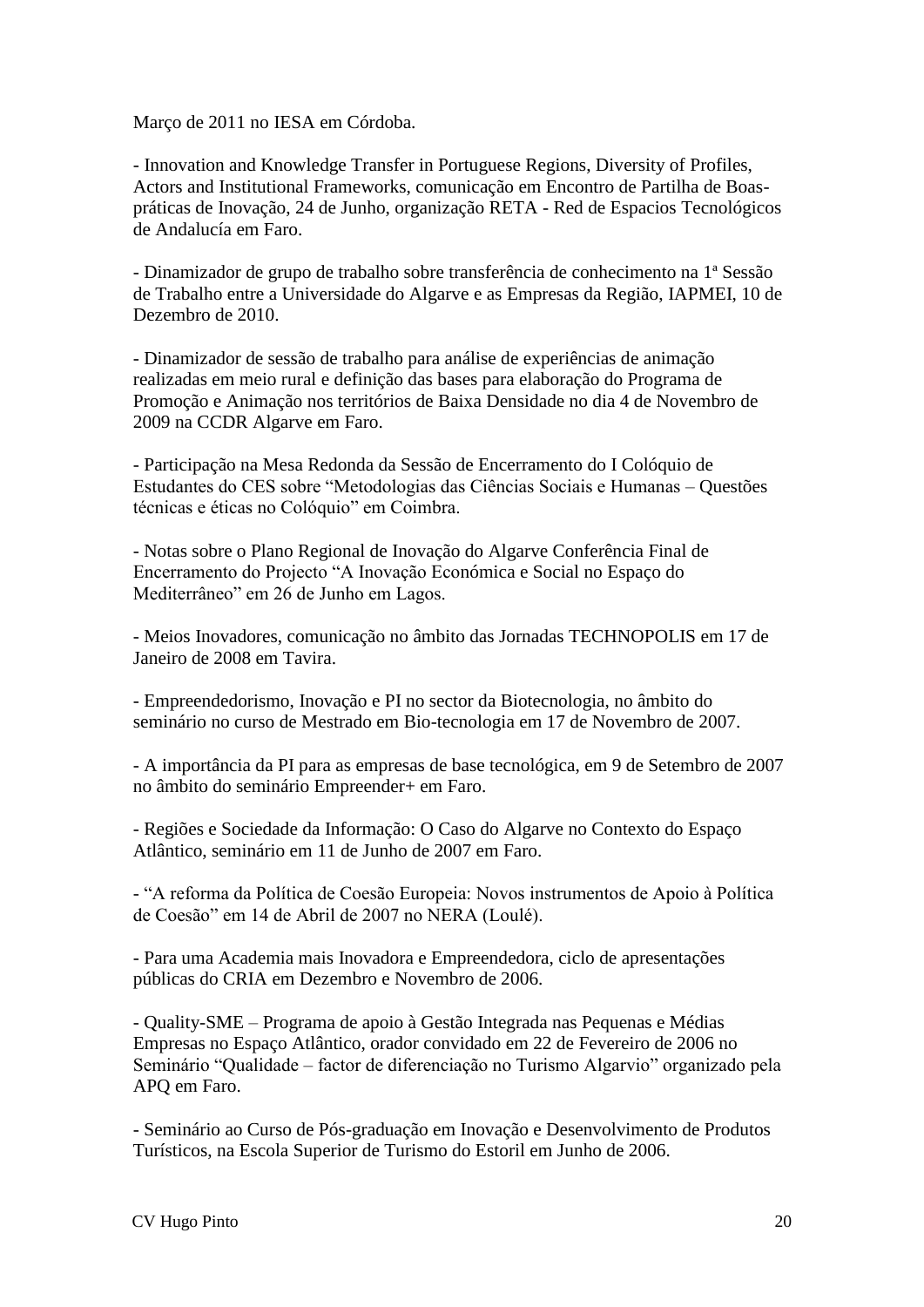Março de 2011 no IESA em Córdoba.

- Innovation and Knowledge Transfer in Portuguese Regions, Diversity of Profiles, Actors and Institutional Frameworks, comunicação em Encontro de Partilha de Boaspráticas de Inovação, 24 de Junho, organização RETA - Red de Espacios Tecnológicos de Andalucía em Faro.

- Dinamizador de grupo de trabalho sobre transferência de conhecimento na 1ª Sessão de Trabalho entre a Universidade do Algarve e as Empresas da Região, IAPMEI, 10 de Dezembro de 2010.

- Dinamizador de sessão de trabalho para análise de experiências de animação realizadas em meio rural e definição das bases para elaboração do Programa de Promoção e Animação nos territórios de Baixa Densidade no dia 4 de Novembro de 2009 na CCDR Algarve em Faro.

- Participação na Mesa Redonda da Sessão de Encerramento do I Colóquio de Estudantes do CES sobre "Metodologias das Ciências Sociais e Humanas – Questões técnicas e éticas no Colóquio" em Coimbra.

- Notas sobre o Plano Regional de Inovação do Algarve Conferência Final de Encerramento do Projecto "A Inovação Económica e Social no Espaço do Mediterrâneo" em 26 de Junho em Lagos.

- Meios Inovadores, comunicação no âmbito das Jornadas TECHNOPOLIS em 17 de Janeiro de 2008 em Tavira.

- Empreendedorismo, Inovação e PI no sector da Biotecnologia, no âmbito do seminário no curso de Mestrado em Bio-tecnologia em 17 de Novembro de 2007.

- A importância da PI para as empresas de base tecnológica, em 9 de Setembro de 2007 no âmbito do seminário Empreender+ em Faro.

- Regiões e Sociedade da Informação: O Caso do Algarve no Contexto do Espaço Atlântico, seminário em 11 de Junho de 2007 em Faro.

- "A reforma da Política de Coesão Europeia: Novos instrumentos de Apoio à Política de Coesão" em 14 de Abril de 2007 no NERA (Loulé).

- Para uma Academia mais Inovadora e Empreendedora, ciclo de apresentações públicas do CRIA em Dezembro e Novembro de 2006.

- Quality-SME – Programa de apoio à Gestão Integrada nas Pequenas e Médias Empresas no Espaço Atlântico, orador convidado em 22 de Fevereiro de 2006 no Seminário "Qualidade – factor de diferenciação no Turismo Algarvio" organizado pela APQ em Faro.

- Seminário ao Curso de Pós-graduação em Inovação e Desenvolvimento de Produtos Turísticos, na Escola Superior de Turismo do Estoril em Junho de 2006.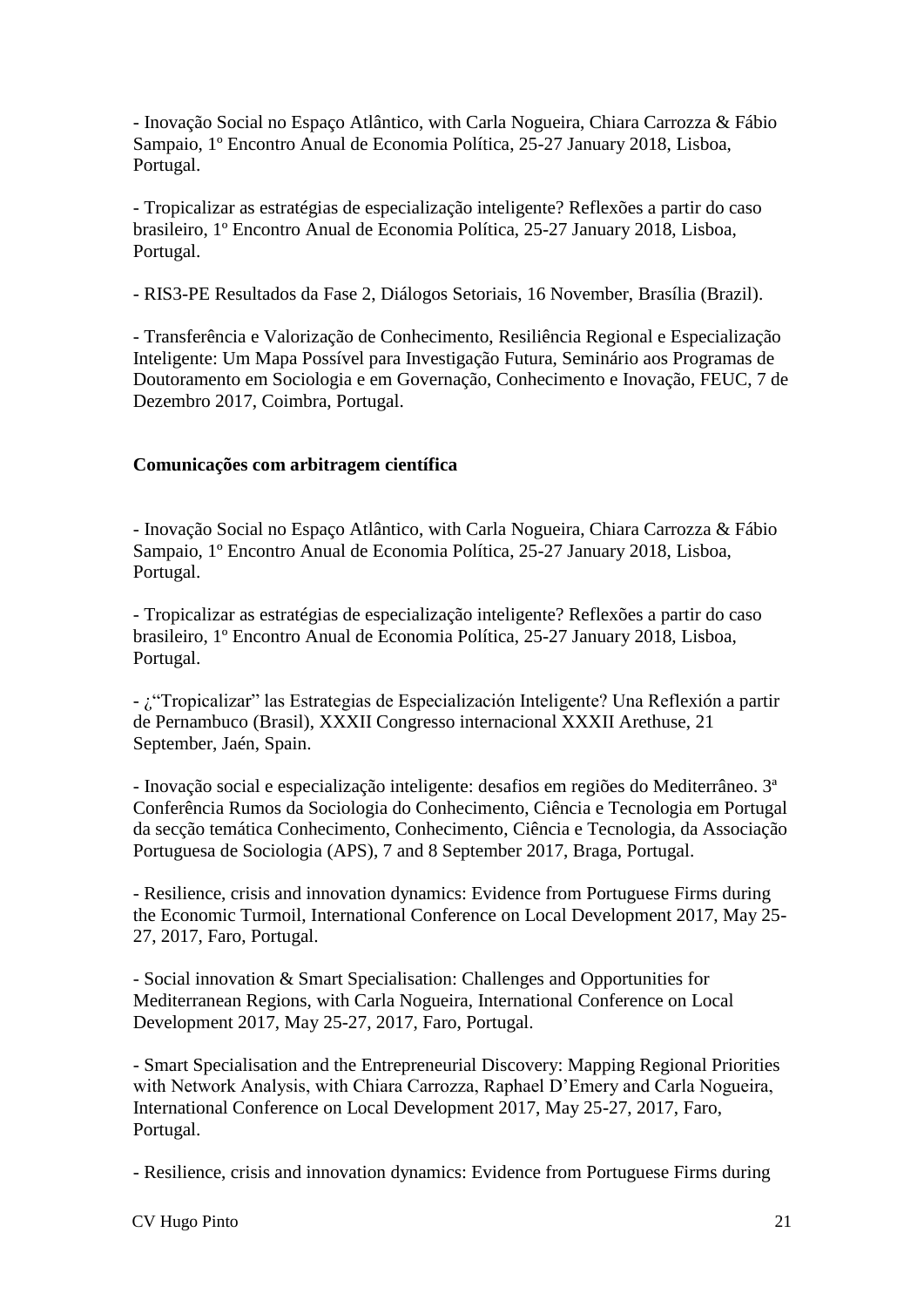- Inovação Social no Espaço Atlântico, with Carla Nogueira, Chiara Carrozza & Fábio Sampaio, 1º Encontro Anual de Economia Política, 25-27 January 2018, Lisboa, Portugal.

- Tropicalizar as estratégias de especialização inteligente? Reflexões a partir do caso brasileiro, 1º Encontro Anual de Economia Política, 25-27 January 2018, Lisboa, Portugal.

- RIS3-PE Resultados da Fase 2, Diálogos Setoriais, 16 November, Brasília (Brazil).

- Transferência e Valorização de Conhecimento, Resiliência Regional e Especialização Inteligente: Um Mapa Possível para Investigação Futura, Seminário aos Programas de Doutoramento em Sociologia e em Governação, Conhecimento e Inovação, FEUC, 7 de Dezembro 2017, Coimbra, Portugal.

## **Comunicações com arbitragem científica**

- Inovação Social no Espaço Atlântico, with Carla Nogueira, Chiara Carrozza & Fábio Sampaio, 1º Encontro Anual de Economia Política, 25-27 January 2018, Lisboa, Portugal.

- Tropicalizar as estratégias de especialização inteligente? Reflexões a partir do caso brasileiro, 1º Encontro Anual de Economia Política, 25-27 January 2018, Lisboa, Portugal.

- ¿"Tropicalizar" las Estrategias de Especialización Inteligente? Una Reflexión a partir de Pernambuco (Brasil), XXXII Congresso internacional XXXII Arethuse, 21 September, Jaén, Spain.

- Inovação social e especialização inteligente: desafios em regiões do Mediterrâneo. 3ª Conferência Rumos da Sociologia do Conhecimento, Ciência e Tecnologia em Portugal da secção temática Conhecimento, Conhecimento, Ciência e Tecnologia, da Associação Portuguesa de Sociologia (APS), 7 and 8 September 2017, Braga, Portugal.

- Resilience, crisis and innovation dynamics: Evidence from Portuguese Firms during the Economic Turmoil, International Conference on Local Development 2017, May 25- 27, 2017, Faro, Portugal.

- Social innovation & Smart Specialisation: Challenges and Opportunities for Mediterranean Regions, with Carla Nogueira, International Conference on Local Development 2017, May 25-27, 2017, Faro, Portugal.

- Smart Specialisation and the Entrepreneurial Discovery: Mapping Regional Priorities with Network Analysis, with Chiara Carrozza, Raphael D'Emery and Carla Nogueira, International Conference on Local Development 2017, May 25-27, 2017, Faro, Portugal.

- Resilience, crisis and innovation dynamics: Evidence from Portuguese Firms during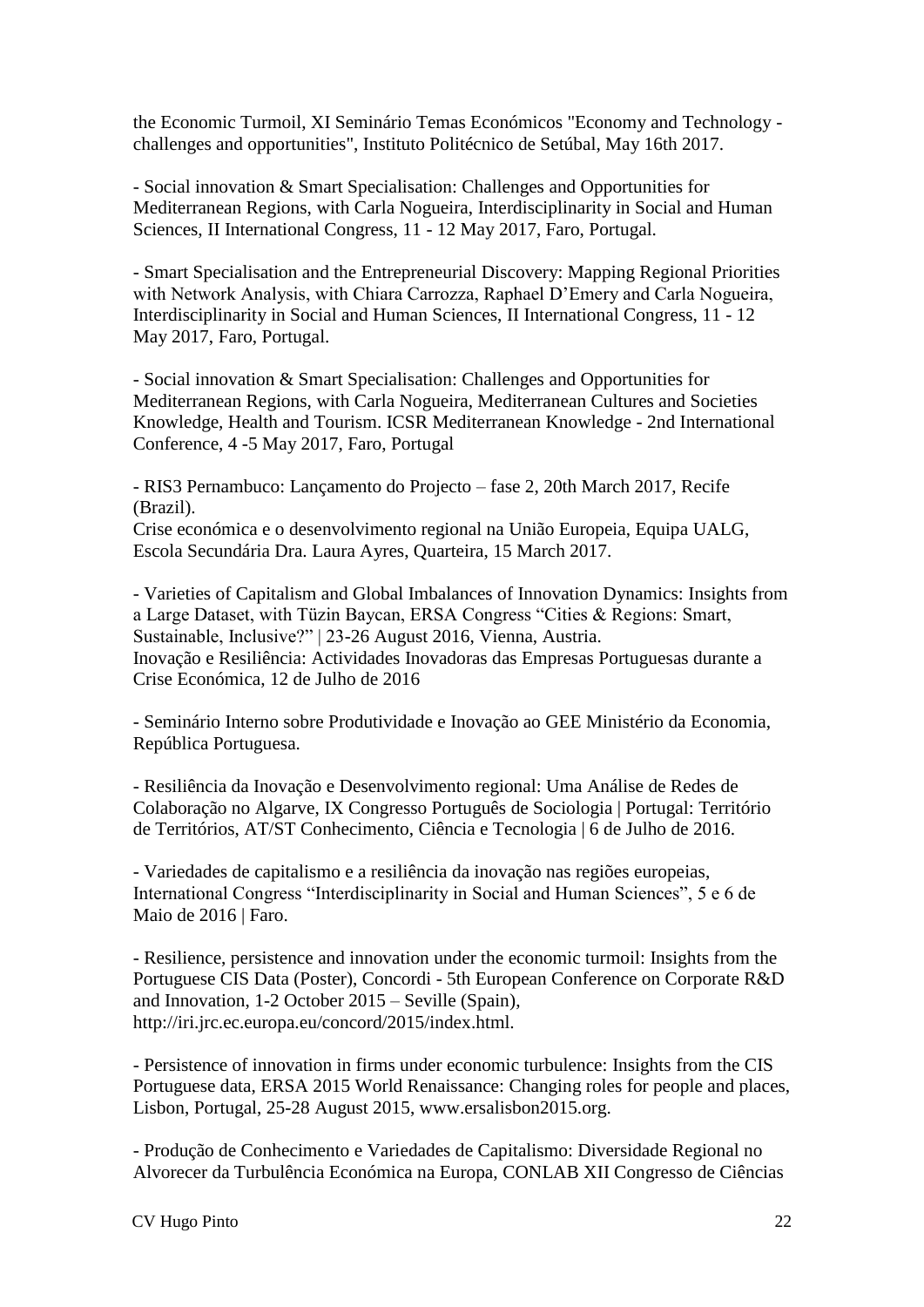the Economic Turmoil, XI Seminário Temas Económicos "Economy and Technology challenges and opportunities", Instituto Politécnico de Setúbal, May 16th 2017.

- Social innovation & Smart Specialisation: Challenges and Opportunities for Mediterranean Regions, with Carla Nogueira, Interdisciplinarity in Social and Human Sciences, II International Congress, 11 - 12 May 2017, Faro, Portugal.

- Smart Specialisation and the Entrepreneurial Discovery: Mapping Regional Priorities with Network Analysis, with Chiara Carrozza, Raphael D'Emery and Carla Nogueira, Interdisciplinarity in Social and Human Sciences, II International Congress, 11 - 12 May 2017, Faro, Portugal.

- Social innovation & Smart Specialisation: Challenges and Opportunities for Mediterranean Regions, with Carla Nogueira, Mediterranean Cultures and Societies Knowledge, Health and Tourism. ICSR Mediterranean Knowledge - 2nd International Conference, 4 -5 May 2017, Faro, Portugal

- RIS3 Pernambuco: Lançamento do Projecto – fase 2, 20th March 2017, Recife (Brazil).

Crise económica e o desenvolvimento regional na União Europeia, Equipa UALG, Escola Secundária Dra. Laura Ayres, Quarteira, 15 March 2017.

- Varieties of Capitalism and Global Imbalances of Innovation Dynamics: Insights from a Large Dataset, with Tüzin Baycan, ERSA Congress "Cities & Regions: Smart, Sustainable, Inclusive?" | 23-26 August 2016, Vienna, Austria. Inovação e Resiliência: Actividades Inovadoras das Empresas Portuguesas durante a Crise Económica, 12 de Julho de 2016

- Seminário Interno sobre Produtividade e Inovação ao GEE Ministério da Economia, República Portuguesa.

- Resiliência da Inovação e Desenvolvimento regional: Uma Análise de Redes de Colaboração no Algarve, IX Congresso Português de Sociologia | Portugal: Território de Territórios, AT/ST Conhecimento, Ciência e Tecnologia | 6 de Julho de 2016.

- Variedades de capitalismo e a resiliência da inovação nas regiões europeias, International Congress "Interdisciplinarity in Social and Human Sciences", 5 e 6 de Maio de 2016 | Faro.

- Resilience, persistence and innovation under the economic turmoil: Insights from the Portuguese CIS Data (Poster), Concordi - 5th European Conference on Corporate R&D and Innovation, 1-2 October 2015 – Seville (Spain), http://iri.jrc.ec.europa.eu/concord/2015/index.html.

- Persistence of innovation in firms under economic turbulence: Insights from the CIS Portuguese data, ERSA 2015 World Renaissance: Changing roles for people and places, Lisbon, Portugal, 25-28 August 2015, www.ersalisbon2015.org.

- Produção de Conhecimento e Variedades de Capitalismo: Diversidade Regional no Alvorecer da Turbulência Económica na Europa, CONLAB XII Congresso de Ciências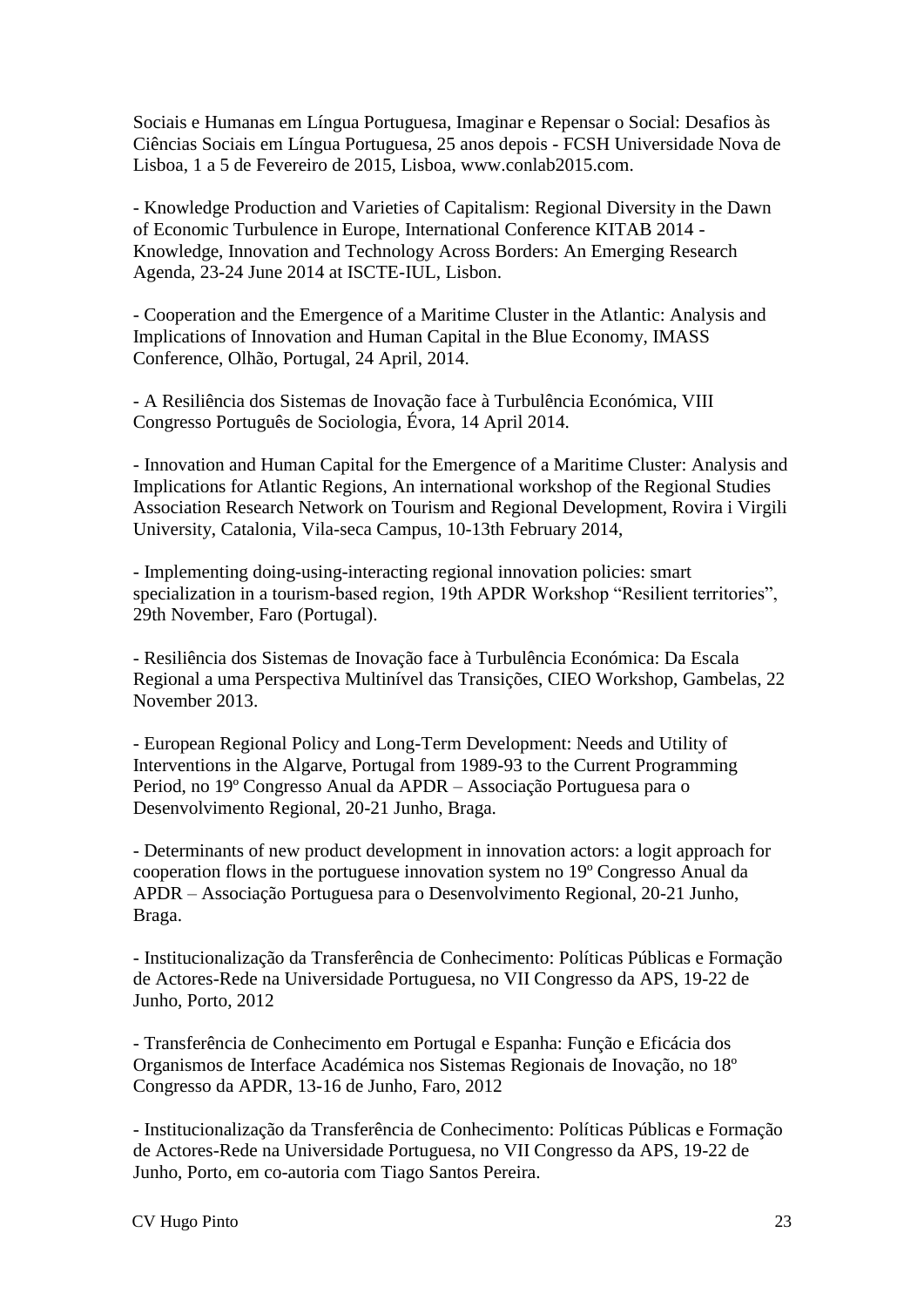Sociais e Humanas em Língua Portuguesa, Imaginar e Repensar o Social: Desafios às Ciências Sociais em Língua Portuguesa, 25 anos depois - FCSH Universidade Nova de Lisboa, 1 a 5 de Fevereiro de 2015, Lisboa, www.conlab2015.com.

- Knowledge Production and Varieties of Capitalism: Regional Diversity in the Dawn of Economic Turbulence in Europe, International Conference KITAB 2014 - Knowledge, Innovation and Technology Across Borders: An Emerging Research Agenda, 23-24 June 2014 at ISCTE-IUL, Lisbon.

- Cooperation and the Emergence of a Maritime Cluster in the Atlantic: Analysis and Implications of Innovation and Human Capital in the Blue Economy, IMASS Conference, Olhão, Portugal, 24 April, 2014.

- A Resiliência dos Sistemas de Inovação face à Turbulência Económica, VIII Congresso Português de Sociologia, Évora, 14 April 2014.

- Innovation and Human Capital for the Emergence of a Maritime Cluster: Analysis and Implications for Atlantic Regions, An international workshop of the Regional Studies Association Research Network on Tourism and Regional Development, Rovira i Virgili University, Catalonia, Vila-seca Campus, 10-13th February 2014,

- Implementing doing-using-interacting regional innovation policies: smart specialization in a tourism-based region, 19th APDR Workshop "Resilient territories", 29th November, Faro (Portugal).

- Resiliência dos Sistemas de Inovação face à Turbulência Económica: Da Escala Regional a uma Perspectiva Multinível das Transições, CIEO Workshop, Gambelas, 22 November 2013.

- European Regional Policy and Long-Term Development: Needs and Utility of Interventions in the Algarve, Portugal from 1989-93 to the Current Programming Period, no 19º Congresso Anual da APDR – Associação Portuguesa para o Desenvolvimento Regional, 20-21 Junho, Braga.

- Determinants of new product development in innovation actors: a logit approach for cooperation flows in the portuguese innovation system no 19º Congresso Anual da APDR – Associação Portuguesa para o Desenvolvimento Regional, 20-21 Junho, Braga.

- Institucionalização da Transferência de Conhecimento: Políticas Públicas e Formação de Actores-Rede na Universidade Portuguesa, no VII Congresso da APS, 19-22 de Junho, Porto, 2012

- Transferência de Conhecimento em Portugal e Espanha: Função e Eficácia dos Organismos de Interface Académica nos Sistemas Regionais de Inovação, no 18º Congresso da APDR, 13-16 de Junho, Faro, 2012

- Institucionalização da Transferência de Conhecimento: Políticas Públicas e Formação de Actores-Rede na Universidade Portuguesa, no VII Congresso da APS, 19-22 de Junho, Porto, em co-autoria com Tiago Santos Pereira.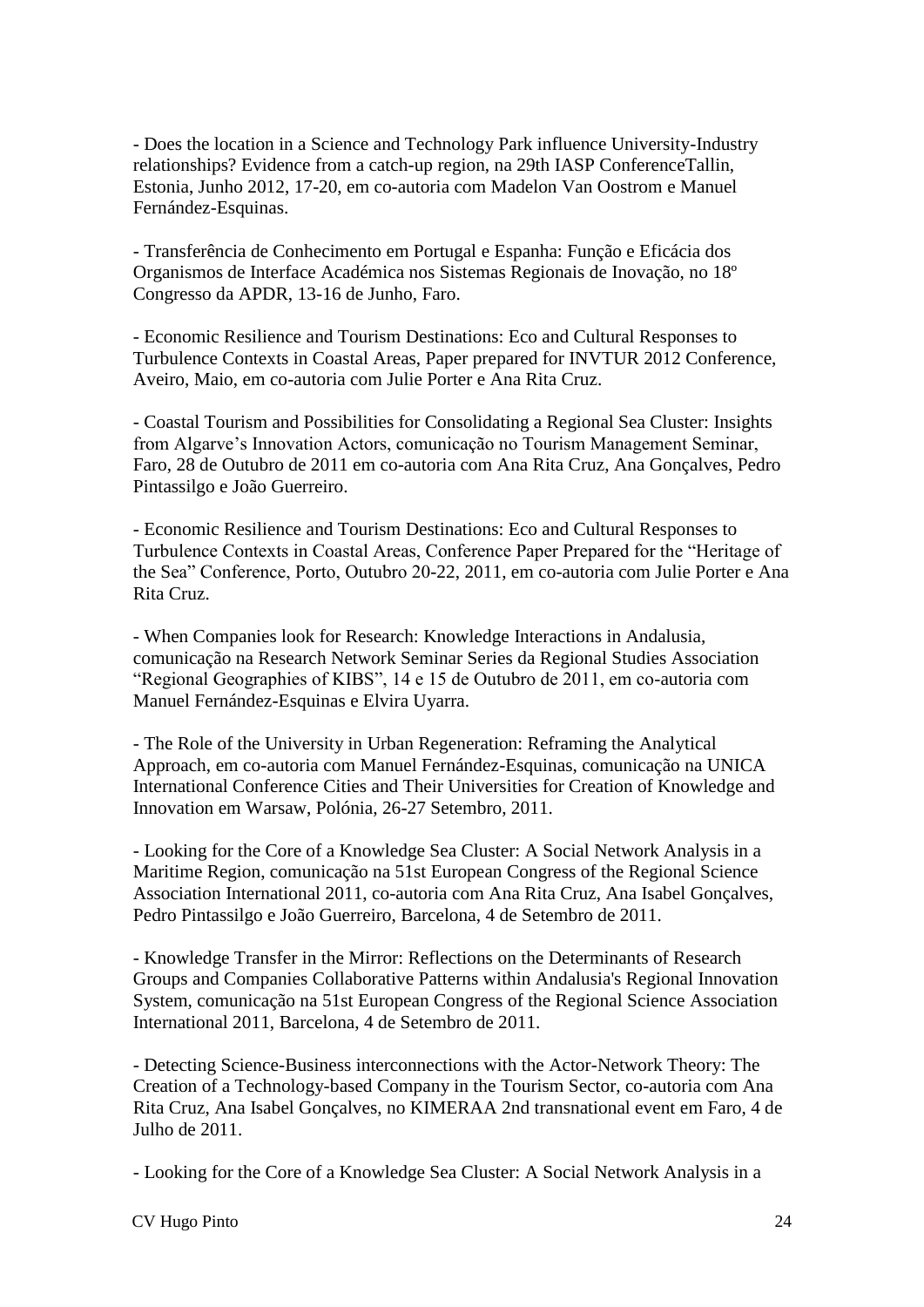- Does the location in a Science and Technology Park influence University-Industry relationships? Evidence from a catch-up region, na 29th IASP ConferenceTallin, Estonia, Junho 2012, 17-20, em co-autoria com Madelon Van Oostrom e Manuel Fernández-Esquinas.

- Transferência de Conhecimento em Portugal e Espanha: Função e Eficácia dos Organismos de Interface Académica nos Sistemas Regionais de Inovação, no 18º Congresso da APDR, 13-16 de Junho, Faro.

- Economic Resilience and Tourism Destinations: Eco and Cultural Responses to Turbulence Contexts in Coastal Areas, Paper prepared for INVTUR 2012 Conference, Aveiro, Maio, em co-autoria com Julie Porter e Ana Rita Cruz.

- Coastal Tourism and Possibilities for Consolidating a Regional Sea Cluster: Insights from Algarve's Innovation Actors, comunicação no Tourism Management Seminar, Faro, 28 de Outubro de 2011 em co-autoria com Ana Rita Cruz, Ana Gonçalves, Pedro Pintassilgo e João Guerreiro.

- Economic Resilience and Tourism Destinations: Eco and Cultural Responses to Turbulence Contexts in Coastal Areas, Conference Paper Prepared for the "Heritage of the Sea" Conference, Porto, Outubro 20-22, 2011, em co-autoria com Julie Porter e Ana Rita Cruz.

- When Companies look for Research: Knowledge Interactions in Andalusia, comunicação na Research Network Seminar Series da Regional Studies Association "Regional Geographies of KIBS", 14 e 15 de Outubro de 2011, em co-autoria com Manuel Fernández-Esquinas e Elvira Uyarra.

- The Role of the University in Urban Regeneration: Reframing the Analytical Approach, em co-autoria com Manuel Fernández-Esquinas, comunicação na UNICA International Conference Cities and Their Universities for Creation of Knowledge and Innovation em Warsaw, Polónia, 26-27 Setembro, 2011.

- Looking for the Core of a Knowledge Sea Cluster: A Social Network Analysis in a Maritime Region, comunicação na 51st European Congress of the Regional Science Association International 2011, co-autoria com Ana Rita Cruz, Ana Isabel Gonçalves, Pedro Pintassilgo e João Guerreiro, Barcelona, 4 de Setembro de 2011.

- Knowledge Transfer in the Mirror: Reflections on the Determinants of Research Groups and Companies Collaborative Patterns within Andalusia's Regional Innovation System, comunicação na 51st European Congress of the Regional Science Association International 2011, Barcelona, 4 de Setembro de 2011.

- Detecting Science-Business interconnections with the Actor-Network Theory: The Creation of a Technology-based Company in the Tourism Sector, co-autoria com Ana Rita Cruz, Ana Isabel Gonçalves, no KIMERAA 2nd transnational event em Faro, 4 de Julho de 2011.

- Looking for the Core of a Knowledge Sea Cluster: A Social Network Analysis in a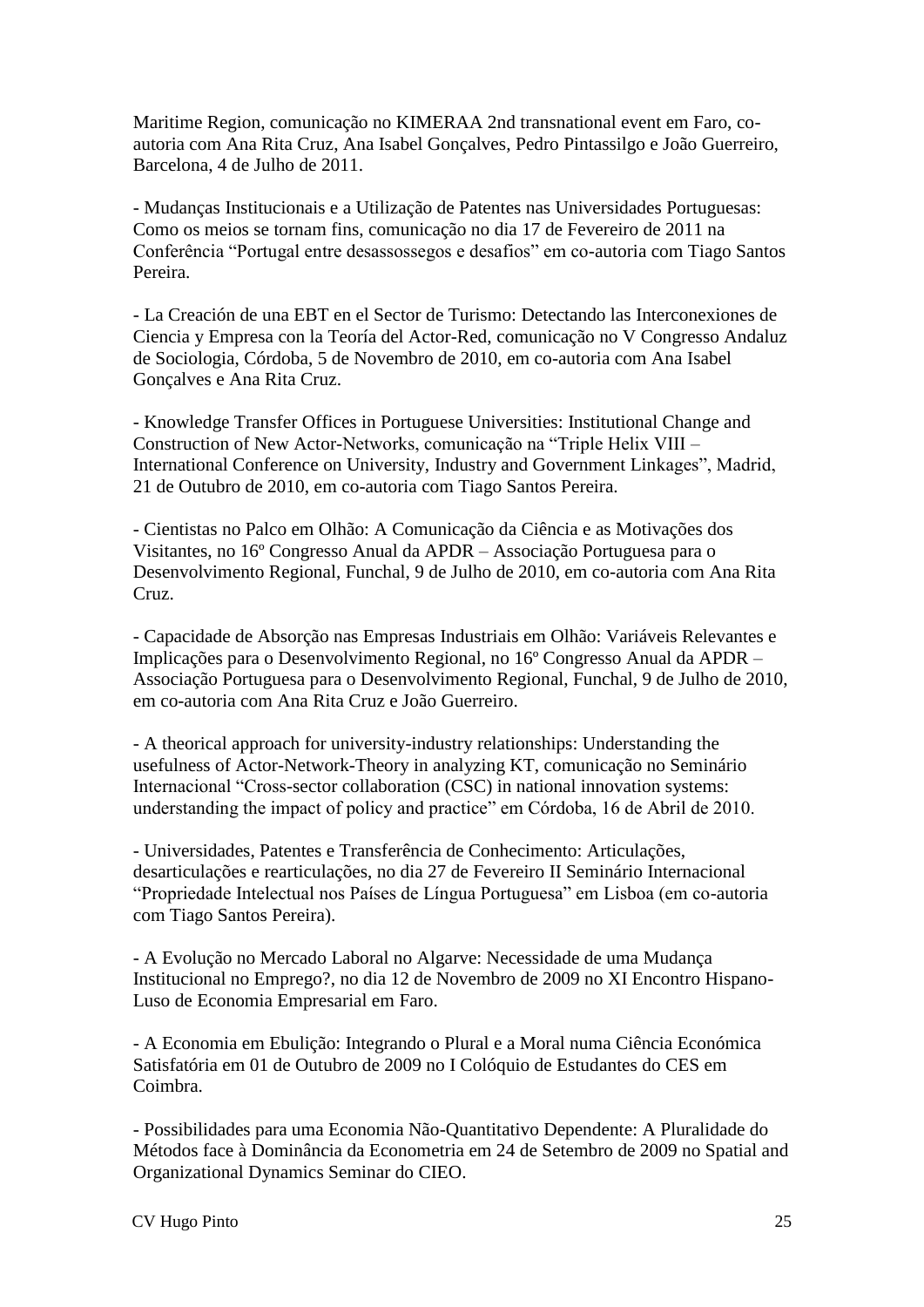Maritime Region, comunicação no KIMERAA 2nd transnational event em Faro, coautoria com Ana Rita Cruz, Ana Isabel Gonçalves, Pedro Pintassilgo e João Guerreiro, Barcelona, 4 de Julho de 2011.

- Mudanças Institucionais e a Utilização de Patentes nas Universidades Portuguesas: Como os meios se tornam fins, comunicação no dia 17 de Fevereiro de 2011 na Conferência "Portugal entre desassossegos e desafios" em co-autoria com Tiago Santos Pereira.

- La Creación de una EBT en el Sector de Turismo: Detectando las Interconexiones de Ciencia y Empresa con la Teoría del Actor-Red, comunicação no V Congresso Andaluz de Sociologia, Córdoba, 5 de Novembro de 2010, em co-autoria com Ana Isabel Gonçalves e Ana Rita Cruz.

- Knowledge Transfer Offices in Portuguese Universities: Institutional Change and Construction of New Actor-Networks, comunicação na "Triple Helix VIII – International Conference on University, Industry and Government Linkages", Madrid, 21 de Outubro de 2010, em co-autoria com Tiago Santos Pereira.

- Cientistas no Palco em Olhão: A Comunicação da Ciência e as Motivações dos Visitantes, no 16º Congresso Anual da APDR – Associação Portuguesa para o Desenvolvimento Regional, Funchal, 9 de Julho de 2010, em co-autoria com Ana Rita Cruz.

- Capacidade de Absorção nas Empresas Industriais em Olhão: Variáveis Relevantes e Implicações para o Desenvolvimento Regional, no 16º Congresso Anual da APDR – Associação Portuguesa para o Desenvolvimento Regional, Funchal, 9 de Julho de 2010, em co-autoria com Ana Rita Cruz e João Guerreiro.

- A theorical approach for university-industry relationships: Understanding the usefulness of Actor-Network-Theory in analyzing KT, comunicação no Seminário Internacional "Cross-sector collaboration (CSC) in national innovation systems: understanding the impact of policy and practice" em Córdoba, 16 de Abril de 2010.

- Universidades, Patentes e Transferência de Conhecimento: Articulações, desarticulações e rearticulações, no dia 27 de Fevereiro II Seminário Internacional "Propriedade Intelectual nos Países de Língua Portuguesa" em Lisboa (em co-autoria com Tiago Santos Pereira).

- A Evolução no Mercado Laboral no Algarve: Necessidade de uma Mudança Institucional no Emprego?, no dia 12 de Novembro de 2009 no XI Encontro Hispano-Luso de Economia Empresarial em Faro.

- A Economia em Ebulição: Integrando o Plural e a Moral numa Ciência Económica Satisfatória em 01 de Outubro de 2009 no I Colóquio de Estudantes do CES em Coimbra.

- Possibilidades para uma Economia Não-Quantitativo Dependente: A Pluralidade do Métodos face à Dominância da Econometria em 24 de Setembro de 2009 no Spatial and Organizational Dynamics Seminar do CIEO.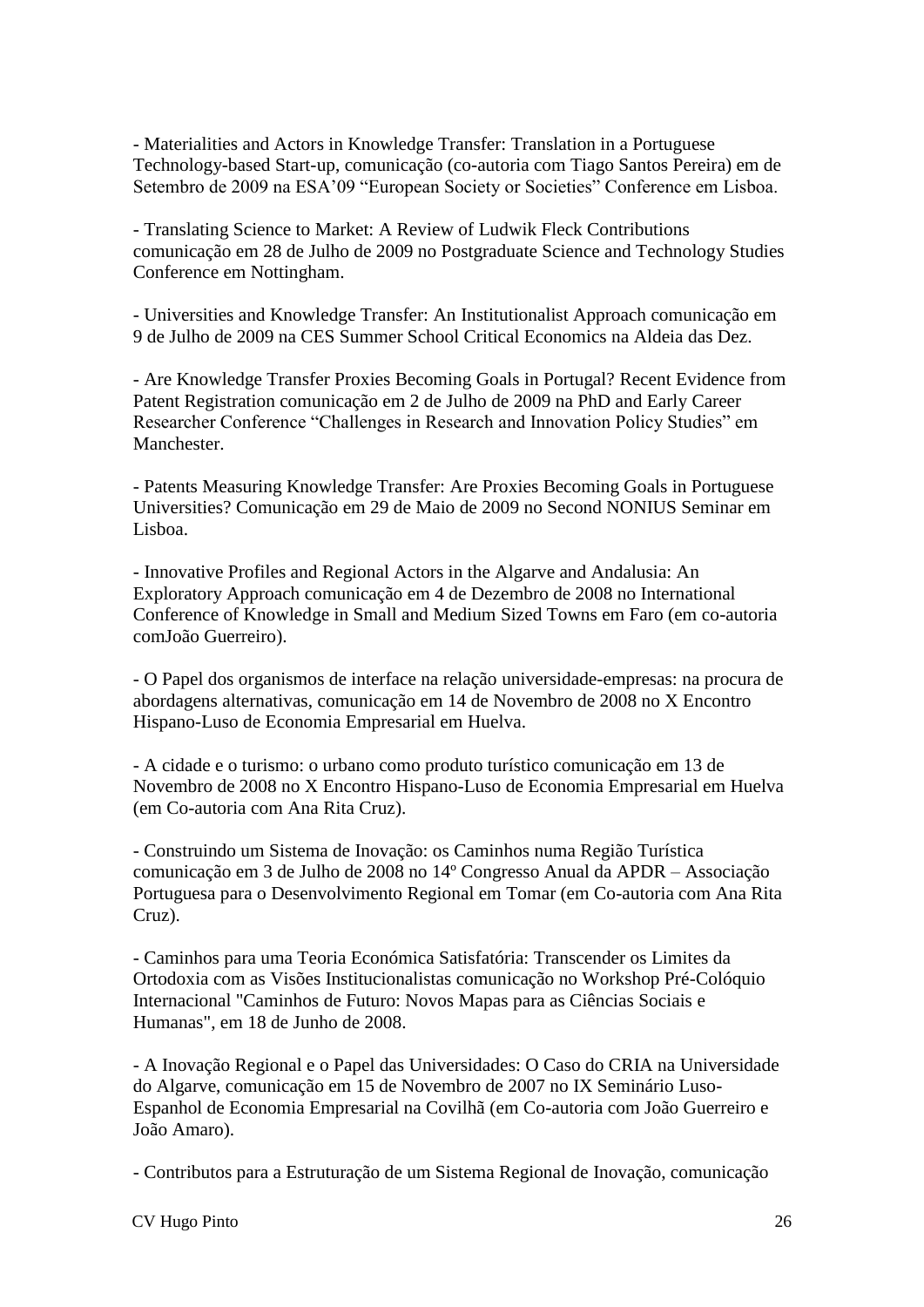- Materialities and Actors in Knowledge Transfer: Translation in a Portuguese Technology-based Start-up, comunicação (co-autoria com Tiago Santos Pereira) em de Setembro de 2009 na ESA'09 "European Society or Societies" Conference em Lisboa.

- Translating Science to Market: A Review of Ludwik Fleck Contributions comunicação em 28 de Julho de 2009 no Postgraduate Science and Technology Studies Conference em Nottingham.

- Universities and Knowledge Transfer: An Institutionalist Approach comunicação em 9 de Julho de 2009 na CES Summer School Critical Economics na Aldeia das Dez.

- Are Knowledge Transfer Proxies Becoming Goals in Portugal? Recent Evidence from Patent Registration comunicação em 2 de Julho de 2009 na PhD and Early Career Researcher Conference "Challenges in Research and Innovation Policy Studies" em Manchester.

- Patents Measuring Knowledge Transfer: Are Proxies Becoming Goals in Portuguese Universities? Comunicação em 29 de Maio de 2009 no Second NONIUS Seminar em Lisboa.

- Innovative Profiles and Regional Actors in the Algarve and Andalusia: An Exploratory Approach comunicação em 4 de Dezembro de 2008 no International Conference of Knowledge in Small and Medium Sized Towns em Faro (em co-autoria comJoão Guerreiro).

- O Papel dos organismos de interface na relação universidade-empresas: na procura de abordagens alternativas, comunicação em 14 de Novembro de 2008 no X Encontro Hispano-Luso de Economia Empresarial em Huelva.

- A cidade e o turismo: o urbano como produto turístico comunicação em 13 de Novembro de 2008 no X Encontro Hispano-Luso de Economia Empresarial em Huelva (em Co-autoria com Ana Rita Cruz).

- Construindo um Sistema de Inovação: os Caminhos numa Região Turística comunicação em 3 de Julho de 2008 no 14º Congresso Anual da APDR – Associação Portuguesa para o Desenvolvimento Regional em Tomar (em Co-autoria com Ana Rita Cruz).

- Caminhos para uma Teoria Económica Satisfatória: Transcender os Limites da Ortodoxia com as Visões Institucionalistas comunicação no Workshop Pré-Colóquio Internacional "Caminhos de Futuro: Novos Mapas para as Ciências Sociais e Humanas", em 18 de Junho de 2008.

- A Inovação Regional e o Papel das Universidades: O Caso do CRIA na Universidade do Algarve, comunicação em 15 de Novembro de 2007 no IX Seminário Luso-Espanhol de Economia Empresarial na Covilhã (em Co-autoria com João Guerreiro e João Amaro).

- Contributos para a Estruturação de um Sistema Regional de Inovação, comunicação